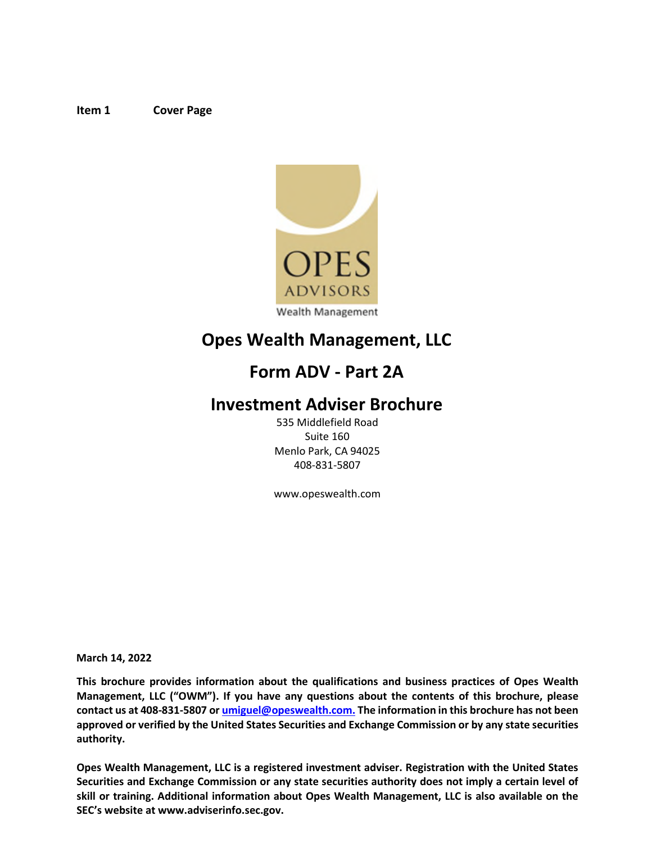#### <span id="page-0-0"></span>**Item 1 Cover Page**



# **Opes Wealth Management, LLC**

# **Form ADV - Part 2A**

# **Investment Adviser Brochure**

535 Middlefield Road Suite 160 Menlo Park, CA 94025 408-831-5807

www.opeswealth.com

**March 14, 2022** 

**This brochure provides information about the qualifications and business practices of Opes Wealth Management, LLC ("OWM"). If you have any questions about the contents of this brochure, please contact us at 408‐831‐5807 or [umiguel@opeswealth.com.](mailto:umiguel@opeswealth.com.) The information in this brochure has not been approved or verified by the United States Securities and Exchange Commission or by any state securities authority.** 

**Opes Wealth Management, LLC is a registered investment adviser. Registration with the United States Securities and Exchange Commission or any state securities authority does not imply a certain level of skill or training. Additional information about Opes Wealth Management, LLC is also available on the SEC's website a[t www.adviserinfo.sec.gov.](http://www.adviserinfo.sec.gov/)**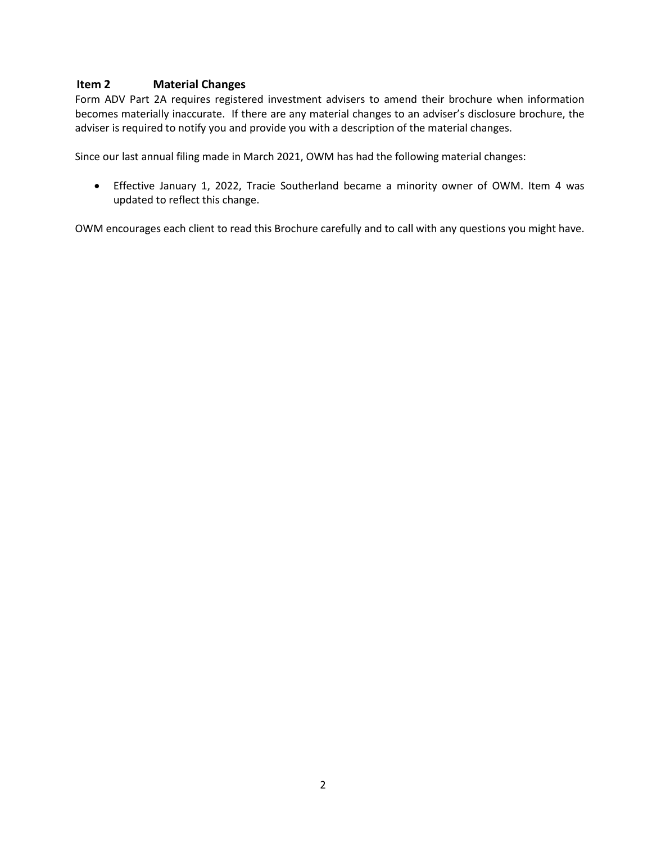# <span id="page-1-0"></span>**Item 2 Material Changes**

Form ADV Part 2A requires registered investment advisers to amend their brochure when information becomes materially inaccurate. If there are any material changes to an adviser's disclosure brochure, the adviser is required to notify you and provide you with a description of the material changes.

Since our last annual filing made in March 2021, OWM has had the following material changes:

 Effective January 1, 2022, Tracie Southerland became a minority owner of OWM. Item 4 was updated to reflect this change.

OWM encourages each client to read this Brochure carefully and to call with any questions you might have.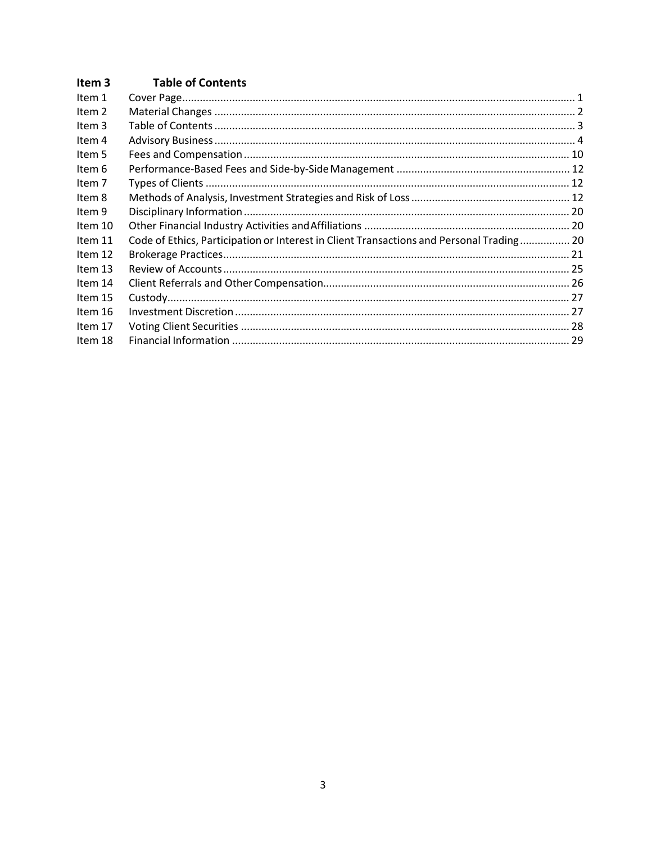#### <span id="page-2-0"></span>Item 3 **Table of Contents**

| Item 2<br>Item 3<br>Item 4<br>Item 5<br>Item 6<br>Item 7<br>Item 8<br>Item 9<br>Item 10<br>Code of Ethics, Participation or Interest in Client Transactions and Personal Trading 20<br>Item 11<br>Item 12<br>Item 13<br>Item 14<br>Item 15<br>Item 16<br>Item 17<br>Item 18 | Item 1 |  |
|-----------------------------------------------------------------------------------------------------------------------------------------------------------------------------------------------------------------------------------------------------------------------------|--------|--|
|                                                                                                                                                                                                                                                                             |        |  |
|                                                                                                                                                                                                                                                                             |        |  |
|                                                                                                                                                                                                                                                                             |        |  |
|                                                                                                                                                                                                                                                                             |        |  |
|                                                                                                                                                                                                                                                                             |        |  |
|                                                                                                                                                                                                                                                                             |        |  |
|                                                                                                                                                                                                                                                                             |        |  |
|                                                                                                                                                                                                                                                                             |        |  |
|                                                                                                                                                                                                                                                                             |        |  |
|                                                                                                                                                                                                                                                                             |        |  |
|                                                                                                                                                                                                                                                                             |        |  |
|                                                                                                                                                                                                                                                                             |        |  |
|                                                                                                                                                                                                                                                                             |        |  |
|                                                                                                                                                                                                                                                                             |        |  |
|                                                                                                                                                                                                                                                                             |        |  |
|                                                                                                                                                                                                                                                                             |        |  |
|                                                                                                                                                                                                                                                                             |        |  |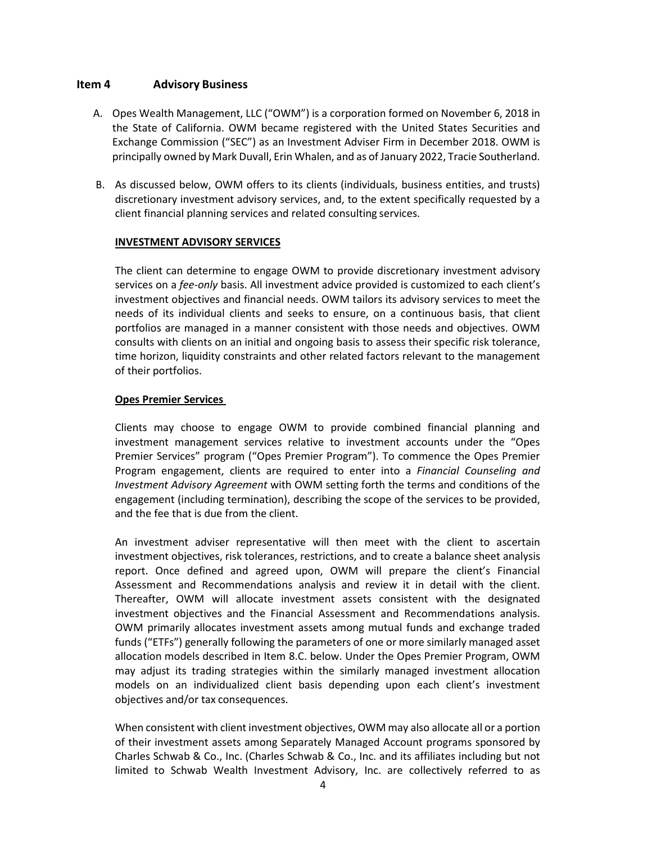# <span id="page-3-0"></span>**Item 4 Advisory Business**

- A. Opes Wealth Management, LLC ("OWM") is a corporation formed on November 6, 2018 in the State of California. OWM became registered with the United States Securities and Exchange Commission ("SEC") as an Investment Adviser Firm in December 2018. OWM is principally owned by Mark Duvall, Erin Whalen, and as of January 2022, Tracie Southerland.
- B. As discussed below, OWM offers to its clients (individuals, business entities, and trusts) discretionary investment advisory services, and, to the extent specifically requested by a client financial planning services and related consulting services.

#### **INVESTMENT ADVISORY SERVICES**

The client can determine to engage OWM to provide discretionary investment advisory services on a *fee‐only* basis. All investment advice provided is customized to each client's investment objectives and financial needs. OWM tailors its advisory services to meet the needs of its individual clients and seeks to ensure, on a continuous basis, that client portfolios are managed in a manner consistent with those needs and objectives. OWM consults with clients on an initial and ongoing basis to assess their specific risk tolerance, time horizon, liquidity constraints and other related factors relevant to the management of their portfolios.

#### **Opes Premier Services**

Clients may choose to engage OWM to provide combined financial planning and investment management services relative to investment accounts under the "Opes Premier Services" program ("Opes Premier Program"). To commence the Opes Premier Program engagement, clients are required to enter into a *Financial Counseling and Investment Advisory Agreement* with OWM setting forth the terms and conditions of the engagement (including termination), describing the scope of the services to be provided, and the fee that is due from the client.

An investment adviser representative will then meet with the client to ascertain investment objectives, risk tolerances, restrictions, and to create a balance sheet analysis report. Once defined and agreed upon, OWM will prepare the client's Financial Assessment and Recommendations analysis and review it in detail with the client. Thereafter, OWM will allocate investment assets consistent with the designated investment objectives and the Financial Assessment and Recommendations analysis. OWM primarily allocates investment assets among mutual funds and exchange traded funds ("ETFs") generally following the parameters of one or more similarly managed asset allocation models described in Item 8.C. below. Under the Opes Premier Program, OWM may adjust its trading strategies within the similarly managed investment allocation models on an individualized client basis depending upon each client's investment objectives and/or tax consequences.

When consistent with client investment objectives, OWM may also allocate all or a portion of their investment assets among Separately Managed Account programs sponsored by Charles Schwab & Co., Inc. (Charles Schwab & Co., Inc. and its affiliates including but not limited to Schwab Wealth Investment Advisory, Inc. are collectively referred to as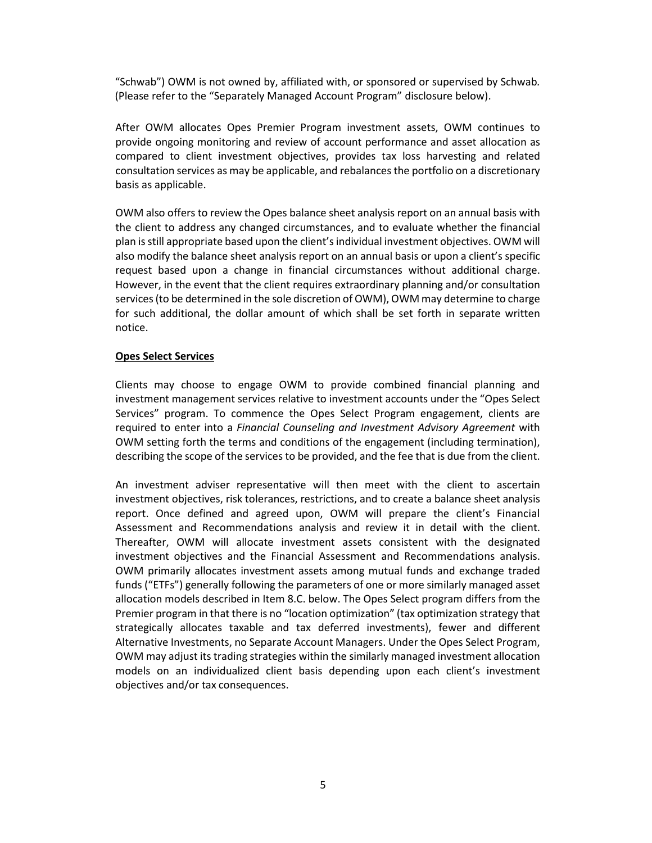"Schwab") OWM is not owned by, affiliated with, or sponsored or supervised by Schwab*.*  (Please refer to the "Separately Managed Account Program" disclosure below).

After OWM allocates Opes Premier Program investment assets, OWM continues to provide ongoing monitoring and review of account performance and asset allocation as compared to client investment objectives, provides tax loss harvesting and related consultation services as may be applicable, and rebalances the portfolio on a discretionary basis as applicable.

OWM also offers to review the Opes balance sheet analysis report on an annual basis with the client to address any changed circumstances, and to evaluate whether the financial plan is still appropriate based upon the client's individual investment objectives. OWM will also modify the balance sheet analysis report on an annual basis or upon a client's specific request based upon a change in financial circumstances without additional charge. However, in the event that the client requires extraordinary planning and/or consultation services (to be determined in the sole discretion of OWM), OWM may determine to charge for such additional, the dollar amount of which shall be set forth in separate written notice.

#### **Opes Select Services**

Clients may choose to engage OWM to provide combined financial planning and investment management services relative to investment accounts under the "Opes Select Services" program. To commence the Opes Select Program engagement, clients are required to enter into a *Financial Counseling and Investment Advisory Agreement* with OWM setting forth the terms and conditions of the engagement (including termination), describing the scope of the services to be provided, and the fee that is due from the client.

An investment adviser representative will then meet with the client to ascertain investment objectives, risk tolerances, restrictions, and to create a balance sheet analysis report. Once defined and agreed upon, OWM will prepare the client's Financial Assessment and Recommendations analysis and review it in detail with the client. Thereafter, OWM will allocate investment assets consistent with the designated investment objectives and the Financial Assessment and Recommendations analysis. OWM primarily allocates investment assets among mutual funds and exchange traded funds ("ETFs") generally following the parameters of one or more similarly managed asset allocation models described in Item 8.C. below. The Opes Select program differs from the Premier program in that there is no "location optimization" (tax optimization strategy that strategically allocates taxable and tax deferred investments), fewer and different Alternative Investments, no Separate Account Managers. Under the Opes Select Program, OWM may adjust its trading strategies within the similarly managed investment allocation models on an individualized client basis depending upon each client's investment objectives and/or tax consequences.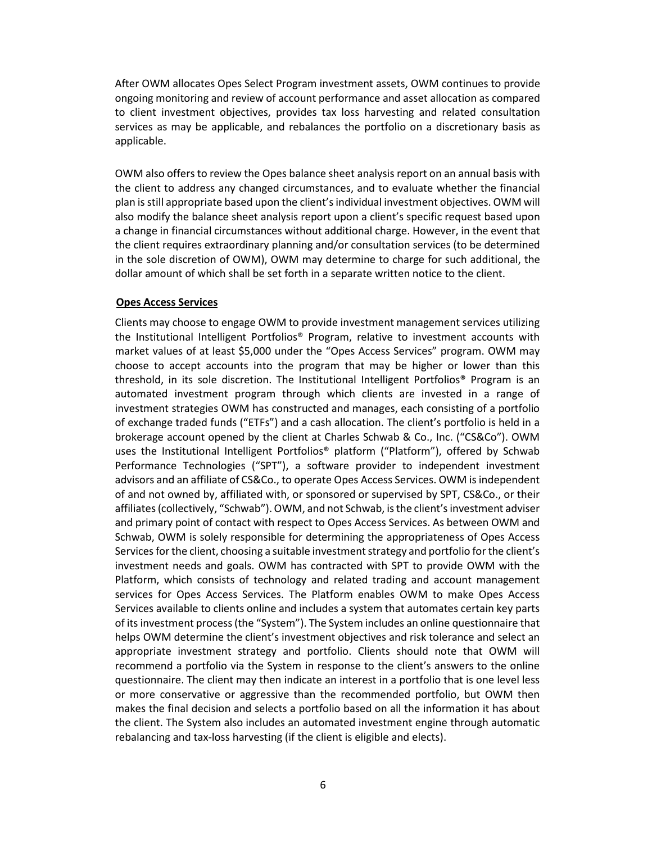After OWM allocates Opes Select Program investment assets, OWM continues to provide ongoing monitoring and review of account performance and asset allocation as compared to client investment objectives, provides tax loss harvesting and related consultation services as may be applicable, and rebalances the portfolio on a discretionary basis as applicable.

OWM also offers to review the Opes balance sheet analysis report on an annual basis with the client to address any changed circumstances, and to evaluate whether the financial plan is still appropriate based upon the client's individual investment objectives. OWM will also modify the balance sheet analysis report upon a client's specific request based upon a change in financial circumstances without additional charge. However, in the event that the client requires extraordinary planning and/or consultation services (to be determined in the sole discretion of OWM), OWM may determine to charge for such additional, the dollar amount of which shall be set forth in a separate written notice to the client.

#### **Opes Access Services**

Clients may choose to engage OWM to provide investment management services utilizing the Institutional Intelligent Portfolios® Program, relative to investment accounts with market values of at least \$5,000 under the "Opes Access Services" program. OWM may choose to accept accounts into the program that may be higher or lower than this threshold, in its sole discretion. The Institutional Intelligent Portfolios® Program is an automated investment program through which clients are invested in a range of investment strategies OWM has constructed and manages, each consisting of a portfolio of exchange traded funds ("ETFs") and a cash allocation. The client's portfolio is held in a brokerage account opened by the client at Charles Schwab & Co., Inc. ("CS&Co"). OWM uses the Institutional Intelligent Portfolios® platform ("Platform"), offered by Schwab Performance Technologies ("SPT"), a software provider to independent investment advisors and an affiliate of CS&Co., to operate Opes Access Services. OWM is independent of and not owned by, affiliated with, or sponsored or supervised by SPT, CS&Co., or their affiliates (collectively, "Schwab"). OWM, and not Schwab, is the client's investment adviser and primary point of contact with respect to Opes Access Services. As between OWM and Schwab, OWM is solely responsible for determining the appropriateness of Opes Access Services for the client, choosing a suitable investment strategy and portfolio for the client's investment needs and goals. OWM has contracted with SPT to provide OWM with the Platform, which consists of technology and related trading and account management services for Opes Access Services. The Platform enables OWM to make Opes Access Services available to clients online and includes a system that automates certain key parts of its investment process (the "System"). The System includes an online questionnaire that helps OWM determine the client's investment objectives and risk tolerance and select an appropriate investment strategy and portfolio. Clients should note that OWM will recommend a portfolio via the System in response to the client's answers to the online questionnaire. The client may then indicate an interest in a portfolio that is one level less or more conservative or aggressive than the recommended portfolio, but OWM then makes the final decision and selects a portfolio based on all the information it has about the client. The System also includes an automated investment engine through automatic rebalancing and tax-loss harvesting (if the client is eligible and elects).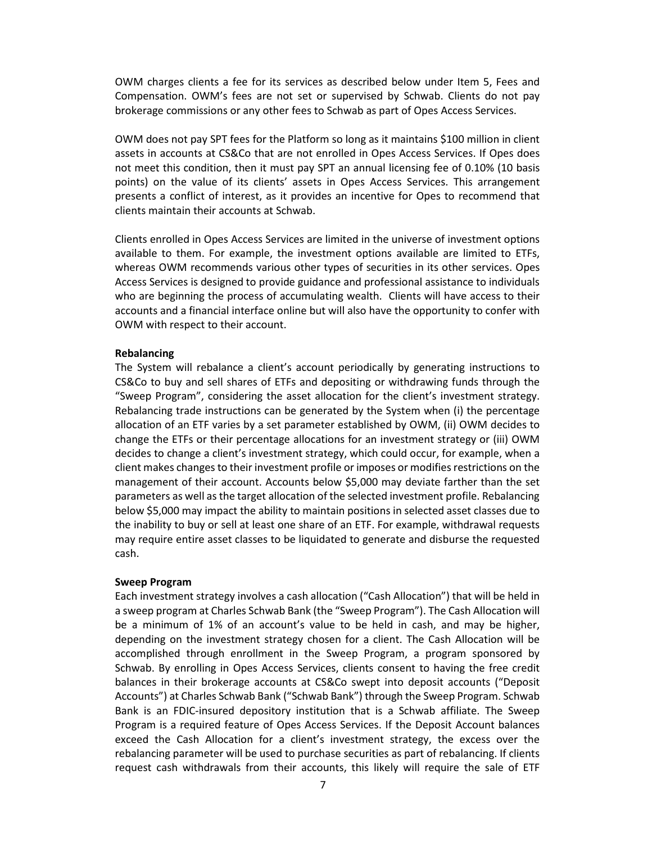OWM charges clients a fee for its services as described below under Item 5, Fees and Compensation. OWM's fees are not set or supervised by Schwab. Clients do not pay brokerage commissions or any other fees to Schwab as part of Opes Access Services.

OWM does not pay SPT fees for the Platform so long as it maintains \$100 million in client assets in accounts at CS&Co that are not enrolled in Opes Access Services. If Opes does not meet this condition, then it must pay SPT an annual licensing fee of 0.10% (10 basis points) on the value of its clients' assets in Opes Access Services. This arrangement presents a conflict of interest, as it provides an incentive for Opes to recommend that clients maintain their accounts at Schwab.

Clients enrolled in Opes Access Services are limited in the universe of investment options available to them. For example, the investment options available are limited to ETFs, whereas OWM recommends various other types of securities in its other services. Opes Access Services is designed to provide guidance and professional assistance to individuals who are beginning the process of accumulating wealth. Clients will have access to their accounts and a financial interface online but will also have the opportunity to confer with OWM with respect to their account.

#### **Rebalancing**

The System will rebalance a client's account periodically by generating instructions to CS&Co to buy and sell shares of ETFs and depositing or withdrawing funds through the "Sweep Program", considering the asset allocation for the client's investment strategy. Rebalancing trade instructions can be generated by the System when (i) the percentage allocation of an ETF varies by a set parameter established by OWM, (ii) OWM decides to change the ETFs or their percentage allocations for an investment strategy or (iii) OWM decides to change a client's investment strategy, which could occur, for example, when a client makes changes to their investment profile or imposes or modifies restrictions on the management of their account. Accounts below \$5,000 may deviate farther than the set parameters as well as the target allocation of the selected investment profile. Rebalancing below \$5,000 may impact the ability to maintain positions in selected asset classes due to the inability to buy or sell at least one share of an ETF. For example, withdrawal requests may require entire asset classes to be liquidated to generate and disburse the requested cash.

#### **Sweep Program**

Each investment strategy involves a cash allocation ("Cash Allocation") that will be held in a sweep program at Charles Schwab Bank (the "Sweep Program"). The Cash Allocation will be a minimum of 1% of an account's value to be held in cash, and may be higher, depending on the investment strategy chosen for a client. The Cash Allocation will be accomplished through enrollment in the Sweep Program, a program sponsored by Schwab. By enrolling in Opes Access Services, clients consent to having the free credit balances in their brokerage accounts at CS&Co swept into deposit accounts ("Deposit Accounts") at Charles Schwab Bank ("Schwab Bank") through the Sweep Program. Schwab Bank is an FDIC-insured depository institution that is a Schwab affiliate. The Sweep Program is a required feature of Opes Access Services. If the Deposit Account balances exceed the Cash Allocation for a client's investment strategy, the excess over the rebalancing parameter will be used to purchase securities as part of rebalancing. If clients request cash withdrawals from their accounts, this likely will require the sale of ETF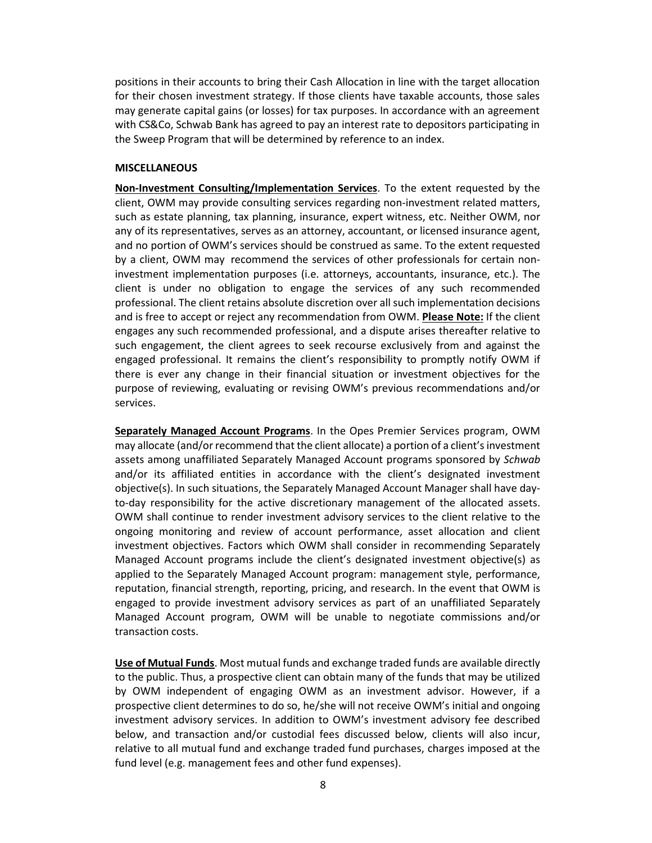positions in their accounts to bring their Cash Allocation in line with the target allocation for their chosen investment strategy. If those clients have taxable accounts, those sales may generate capital gains (or losses) for tax purposes. In accordance with an agreement with CS&Co, Schwab Bank has agreed to pay an interest rate to depositors participating in the Sweep Program that will be determined by reference to an index.

#### **MISCELLANEOUS**

**Non‐Investment Consulting/Implementation Services**. To the extent requested by the client, OWM may provide consulting services regarding non-investment related matters, such as estate planning, tax planning, insurance, expert witness, etc. Neither OWM, nor any of its representatives, serves as an attorney, accountant, or licensed insurance agent, and no portion of OWM's services should be construed as same. To the extent requested by a client, OWM may recommend the services of other professionals for certain non‐ investment implementation purposes (i.e. attorneys, accountants, insurance, etc.). The client is under no obligation to engage the services of any such recommended professional. The client retains absolute discretion over all such implementation decisions and is free to accept or reject any recommendation from OWM. **Please Note:** If the client engages any such recommended professional, and a dispute arises thereafter relative to such engagement, the client agrees to seek recourse exclusively from and against the engaged professional. It remains the client's responsibility to promptly notify OWM if there is ever any change in their financial situation or investment objectives for the purpose of reviewing, evaluating or revising OWM's previous recommendations and/or services.

**Separately Managed Account Programs**. In the Opes Premier Services program, OWM may allocate (and/or recommend that the client allocate) a portion of a client's investment assets among unaffiliated Separately Managed Account programs sponsored by *Schwab*  and/or its affiliated entities in accordance with the client's designated investment objective(s). In such situations, the Separately Managed Account Manager shall have day‐ to-day responsibility for the active discretionary management of the allocated assets. OWM shall continue to render investment advisory services to the client relative to the ongoing monitoring and review of account performance, asset allocation and client investment objectives. Factors which OWM shall consider in recommending Separately Managed Account programs include the client's designated investment objective(s) as applied to the Separately Managed Account program: management style, performance, reputation, financial strength, reporting, pricing, and research. In the event that OWM is engaged to provide investment advisory services as part of an unaffiliated Separately Managed Account program, OWM will be unable to negotiate commissions and/or transaction costs.

**Use of Mutual Funds**. Most mutual funds and exchange traded funds are available directly to the public. Thus, a prospective client can obtain many of the funds that may be utilized by OWM independent of engaging OWM as an investment advisor. However, if a prospective client determines to do so, he/she will not receive OWM's initial and ongoing investment advisory services. In addition to OWM's investment advisory fee described below, and transaction and/or custodial fees discussed below, clients will also incur, relative to all mutual fund and exchange traded fund purchases, charges imposed at the fund level (e.g. management fees and other fund expenses).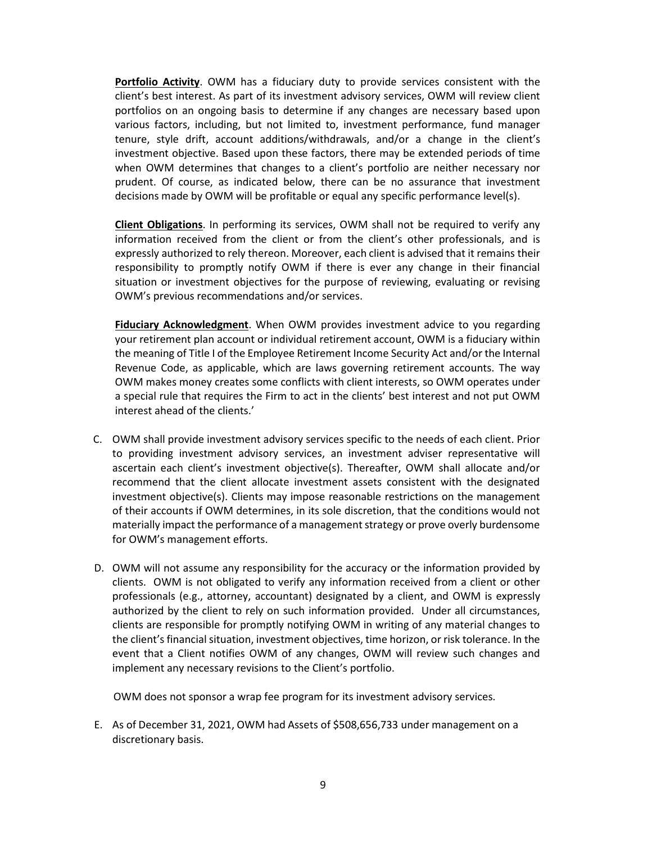**Portfolio Activity**. OWM has a fiduciary duty to provide services consistent with the client's best interest. As part of its investment advisory services, OWM will review client portfolios on an ongoing basis to determine if any changes are necessary based upon various factors, including, but not limited to, investment performance, fund manager tenure, style drift, account additions/withdrawals, and/or a change in the client's investment objective. Based upon these factors, there may be extended periods of time when OWM determines that changes to a client's portfolio are neither necessary nor prudent. Of course, as indicated below, there can be no assurance that investment decisions made by OWM will be profitable or equal any specific performance level(s).

**Client Obligations**. In performing its services, OWM shall not be required to verify any information received from the client or from the client's other professionals, and is expressly authorized to rely thereon. Moreover, each client is advised that it remains their responsibility to promptly notify OWM if there is ever any change in their financial situation or investment objectives for the purpose of reviewing, evaluating or revising OWM's previous recommendations and/or services.

**Fiduciary Acknowledgment**. When OWM provides investment advice to you regarding your retirement plan account or individual retirement account, OWM is a fiduciary within the meaning of Title I of the Employee Retirement Income Security Act and/or the Internal Revenue Code, as applicable, which are laws governing retirement accounts. The way OWM makes money creates some conflicts with client interests, so OWM operates under a special rule that requires the Firm to act in the clients' best interest and not put OWM interest ahead of the clients.'

- C. OWM shall provide investment advisory services specific to the needs of each client. Prior to providing investment advisory services, an investment adviser representative will ascertain each client's investment objective(s). Thereafter, OWM shall allocate and/or recommend that the client allocate investment assets consistent with the designated investment objective(s). Clients may impose reasonable restrictions on the management of their accounts if OWM determines, in its sole discretion, that the conditions would not materially impact the performance of a management strategy or prove overly burdensome for OWM's management efforts.
- D. OWM will not assume any responsibility for the accuracy or the information provided by clients. OWM is not obligated to verify any information received from a client or other professionals (e.g., attorney, accountant) designated by a client, and OWM is expressly authorized by the client to rely on such information provided. Under all circumstances, clients are responsible for promptly notifying OWM in writing of any material changes to the client's financial situation, investment objectives, time horizon, or risk tolerance. In the event that a Client notifies OWM of any changes, OWM will review such changes and implement any necessary revisions to the Client's portfolio.

OWM does not sponsor a wrap fee program for its investment advisory services.

E. As of December 31, 2021, OWM had Assets of \$508,656,733 under management on a discretionary basis.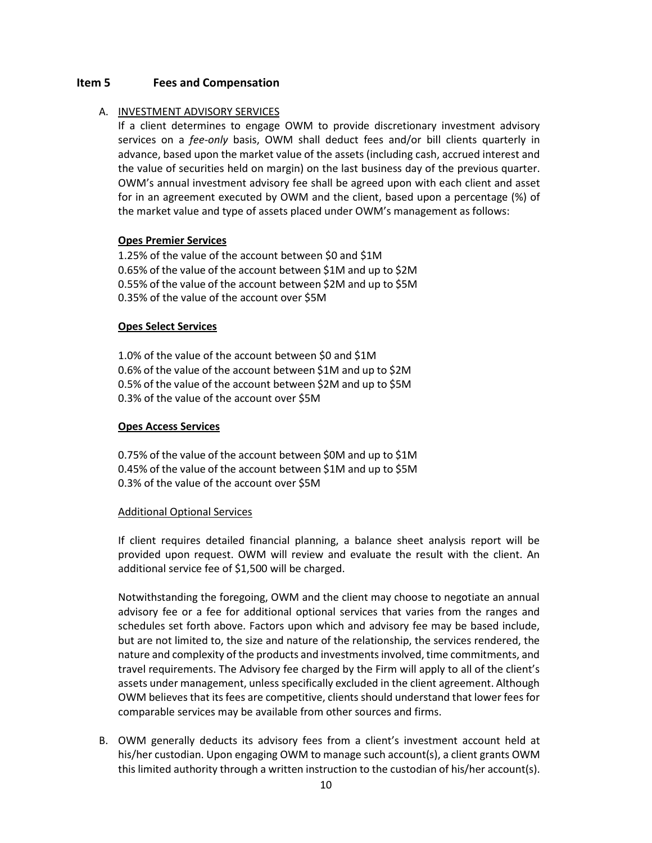# <span id="page-9-0"></span>**Item 5 Fees and Compensation**

#### A. INVESTMENT ADVISORY SERVICES

If a client determines to engage OWM to provide discretionary investment advisory services on a *fee-only* basis, OWM shall deduct fees and/or bill clients quarterly in advance, based upon the market value of the assets (including cash, accrued interest and the value of securities held on margin) on the last business day of the previous quarter. OWM's annual investment advisory fee shall be agreed upon with each client and asset for in an agreement executed by OWM and the client, based upon a percentage (%) of the market value and type of assets placed under OWM's management as follows:

#### **Opes Premier Services**

1.25% of the value of the account between \$0 and \$1M 0.65% of the value of the account between \$1M and up to \$2M 0.55% of the value of the account between \$2M and up to \$5M 0.35% of the value of the account over \$5M

#### **Opes Select Services**

1.0% of the value of the account between \$0 and \$1M 0.6% of the value of the account between \$1M and up to \$2M 0.5% of the value of the account between \$2M and up to \$5M 0.3% of the value of the account over \$5M

#### **Opes Access Services**

0.75% of the value of the account between \$0M and up to \$1M 0.45% of the value of the account between \$1M and up to \$5M 0.3% of the value of the account over \$5M

#### Additional Optional Services

If client requires detailed financial planning, a balance sheet analysis report will be provided upon request. OWM will review and evaluate the result with the client. An additional service fee of \$1,500 will be charged.

Notwithstanding the foregoing, OWM and the client may choose to negotiate an annual advisory fee or a fee for additional optional services that varies from the ranges and schedules set forth above. Factors upon which and advisory fee may be based include, but are not limited to, the size and nature of the relationship, the services rendered, the nature and complexity of the products and investments involved, time commitments, and travel requirements. The Advisory fee charged by the Firm will apply to all of the client's assets under management, unless specifically excluded in the client agreement. Although OWM believes that its fees are competitive, clients should understand that lower fees for comparable services may be available from other sources and firms.

B. OWM generally deducts its advisory fees from a client's investment account held at his/her custodian. Upon engaging OWM to manage such account(s), a client grants OWM this limited authority through a written instruction to the custodian of his/her account(s).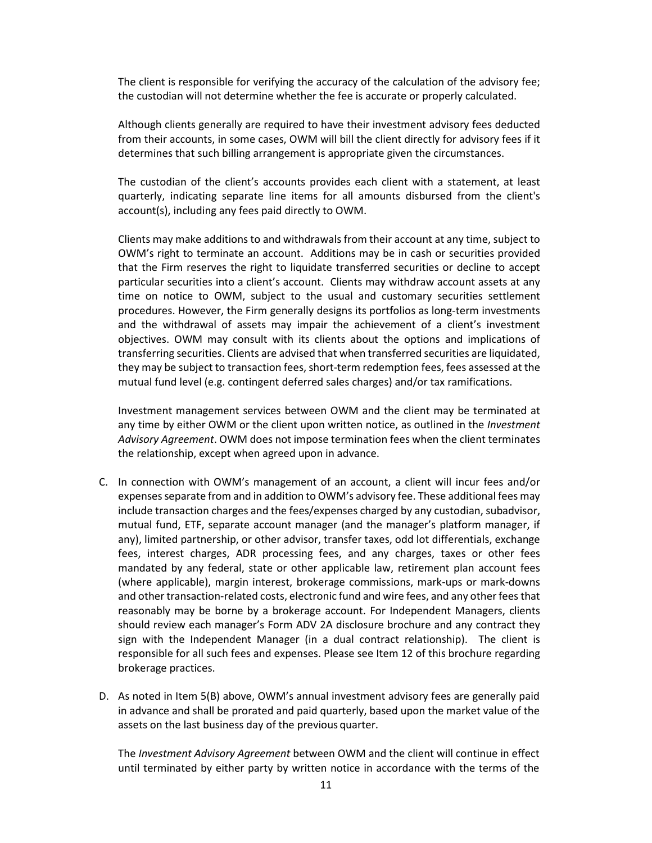The client is responsible for verifying the accuracy of the calculation of the advisory fee; the custodian will not determine whether the fee is accurate or properly calculated.

Although clients generally are required to have their investment advisory fees deducted from their accounts, in some cases, OWM will bill the client directly for advisory fees if it determines that such billing arrangement is appropriate given the circumstances.

The custodian of the client's accounts provides each client with a statement, at least quarterly, indicating separate line items for all amounts disbursed from the client's account(s), including any fees paid directly to OWM.

Clients may make additions to and withdrawals from their account at any time, subject to OWM's right to terminate an account. Additions may be in cash or securities provided that the Firm reserves the right to liquidate transferred securities or decline to accept particular securities into a client's account. Clients may withdraw account assets at any time on notice to OWM, subject to the usual and customary securities settlement procedures. However, the Firm generally designs its portfolios as long-term investments and the withdrawal of assets may impair the achievement of a client's investment objectives. OWM may consult with its clients about the options and implications of transferring securities. Clients are advised that when transferred securities are liquidated, they may be subject to transaction fees, short-term redemption fees, fees assessed at the mutual fund level (e.g. contingent deferred sales charges) and/or tax ramifications.

Investment management services between OWM and the client may be terminated at any time by either OWM or the client upon written notice, as outlined in the *Investment Advisory Agreement*. OWM does not impose termination fees when the client terminates the relationship, except when agreed upon in advance.

- C. In connection with OWM's management of an account, a client will incur fees and/or expenses separate from and in addition to OWM's advisory fee. These additional fees may include transaction charges and the fees/expenses charged by any custodian, subadvisor, mutual fund, ETF, separate account manager (and the manager's platform manager, if any), limited partnership, or other advisor, transfer taxes, odd lot differentials, exchange fees, interest charges, ADR processing fees, and any charges, taxes or other fees mandated by any federal, state or other applicable law, retirement plan account fees (where applicable), margin interest, brokerage commissions, mark-ups or mark-downs and other transaction-related costs, electronic fund and wire fees, and any other fees that reasonably may be borne by a brokerage account. For Independent Managers, clients should review each manager's Form ADV 2A disclosure brochure and any contract they sign with the Independent Manager (in a dual contract relationship). The client is responsible for all such fees and expenses. Please see Item 12 of this brochure regarding brokerage practices.
- D. As noted in Item 5(B) above, OWM's annual investment advisory fees are generally paid in advance and shall be prorated and paid quarterly, based upon the market value of the assets on the last business day of the previous quarter.

The *Investment Advisory Agreement* between OWM and the client will continue in effect until terminated by either party by written notice in accordance with the terms of the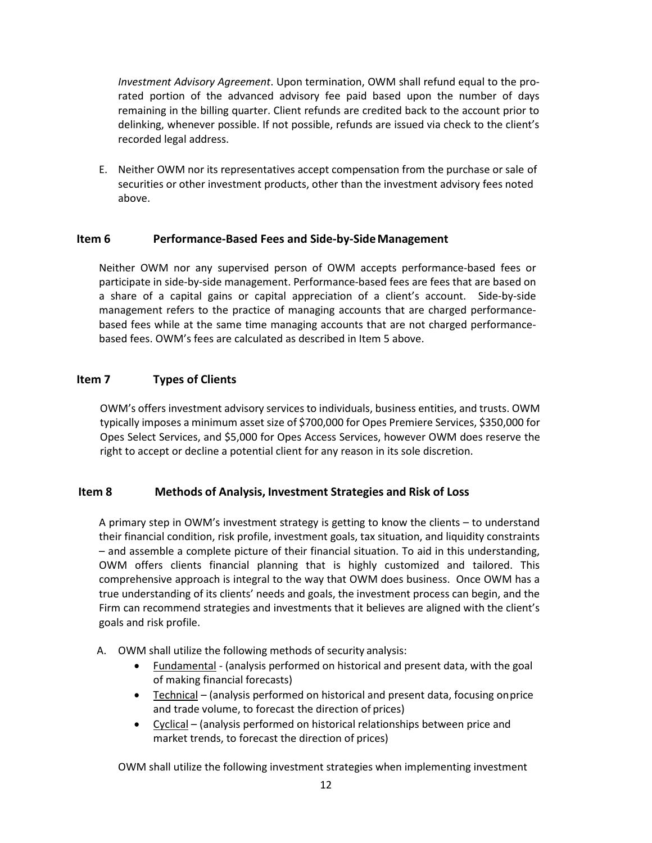*Investment Advisory Agreement*. Upon termination, OWM shall refund equal to the pro‐ rated portion of the advanced advisory fee paid based upon the number of days remaining in the billing quarter. Client refunds are credited back to the account prior to delinking, whenever possible. If not possible, refunds are issued via check to the client's recorded legal address.

E. Neither OWM nor its representatives accept compensation from the purchase or sale of securities or other investment products, other than the investment advisory fees noted above.

# <span id="page-11-0"></span>**Item 6 Performance‐Based Fees and Side‐by‐SideManagement**

Neither OWM nor any supervised person of OWM accepts performance‐based fees or participate in side-by-side management. Performance-based fees are fees that are based on a share of a capital gains or capital appreciation of a client's account. Side-by-side management refers to the practice of managing accounts that are charged performancebased fees while at the same time managing accounts that are not charged performancebased fees. OWM's fees are calculated as described in Item 5 above.

# <span id="page-11-1"></span>**Item 7 Types of Clients**

OWM's offers investment advisory services to individuals, business entities, and trusts. OWM typically imposes a minimum asset size of \$700,000 for Opes Premiere Services, \$350,000 for Opes Select Services, and \$5,000 for Opes Access Services, however OWM does reserve the right to accept or decline a potential client for any reason in its sole discretion.

# <span id="page-11-2"></span>**Item 8 Methods of Analysis, Investment Strategies and Risk of Loss**

A primary step in OWM's investment strategy is getting to know the clients – to understand their financial condition, risk profile, investment goals, tax situation, and liquidity constraints – and assemble a complete picture of their financial situation. To aid in this understanding, OWM offers clients financial planning that is highly customized and tailored. This comprehensive approach is integral to the way that OWM does business. Once OWM has a true understanding of its clients' needs and goals, the investment process can begin, and the Firm can recommend strategies and investments that it believes are aligned with the client's goals and risk profile.

- A. OWM shall utilize the following methods of security analysis:
	- Fundamental (analysis performed on historical and present data, with the goal of making financial forecasts)
	- Technical (analysis performed on historical and present data, focusing on price and trade volume, to forecast the direction of prices)
	- Cyclical (analysis performed on historical relationships between price and market trends, to forecast the direction of prices)

OWM shall utilize the following investment strategies when implementing investment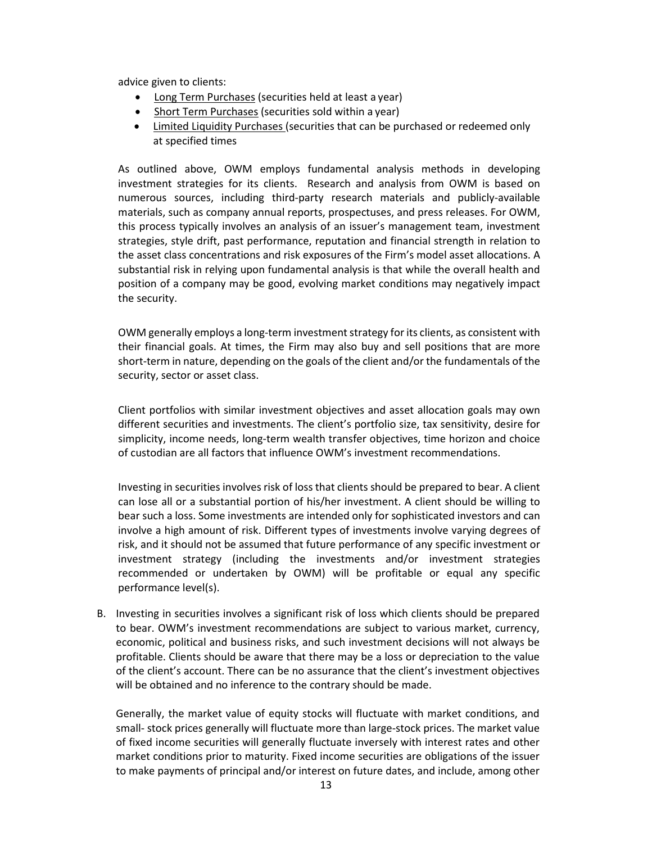advice given to clients:

- Long Term Purchases (securities held at least a year)
- Short Term Purchases (securities sold within a year)
- Limited Liquidity Purchases (securities that can be purchased or redeemed only at specified times

As outlined above, OWM employs fundamental analysis methods in developing investment strategies for its clients. Research and analysis from OWM is based on numerous sources, including third-party research materials and publicly-available materials, such as company annual reports, prospectuses, and press releases. For OWM, this process typically involves an analysis of an issuer's management team, investment strategies, style drift, past performance, reputation and financial strength in relation to the asset class concentrations and risk exposures of the Firm's model asset allocations. A substantial risk in relying upon fundamental analysis is that while the overall health and position of a company may be good, evolving market conditions may negatively impact the security.

OWM generally employs a long-term investment strategy for its clients, as consistent with their financial goals. At times, the Firm may also buy and sell positions that are more short-term in nature, depending on the goals of the client and/or the fundamentals of the security, sector or asset class.

Client portfolios with similar investment objectives and asset allocation goals may own different securities and investments. The client's portfolio size, tax sensitivity, desire for simplicity, income needs, long-term wealth transfer objectives, time horizon and choice of custodian are all factors that influence OWM's investment recommendations.

Investing in securities involves risk of loss that clients should be prepared to bear. A client can lose all or a substantial portion of his/her investment. A client should be willing to bear such a loss. Some investments are intended only for sophisticated investors and can involve a high amount of risk. Different types of investments involve varying degrees of risk, and it should not be assumed that future performance of any specific investment or investment strategy (including the investments and/or investment strategies recommended or undertaken by OWM) will be profitable or equal any specific performance level(s).

B. Investing in securities involves a significant risk of loss which clients should be prepared to bear. OWM's investment recommendations are subject to various market, currency, economic, political and business risks, and such investment decisions will not always be profitable. Clients should be aware that there may be a loss or depreciation to the value of the client's account. There can be no assurance that the client's investment objectives will be obtained and no inference to the contrary should be made.

Generally, the market value of equity stocks will fluctuate with market conditions, and small- stock prices generally will fluctuate more than large-stock prices. The market value of fixed income securities will generally fluctuate inversely with interest rates and other market conditions prior to maturity. Fixed income securities are obligations of the issuer to make payments of principal and/or interest on future dates, and include, among other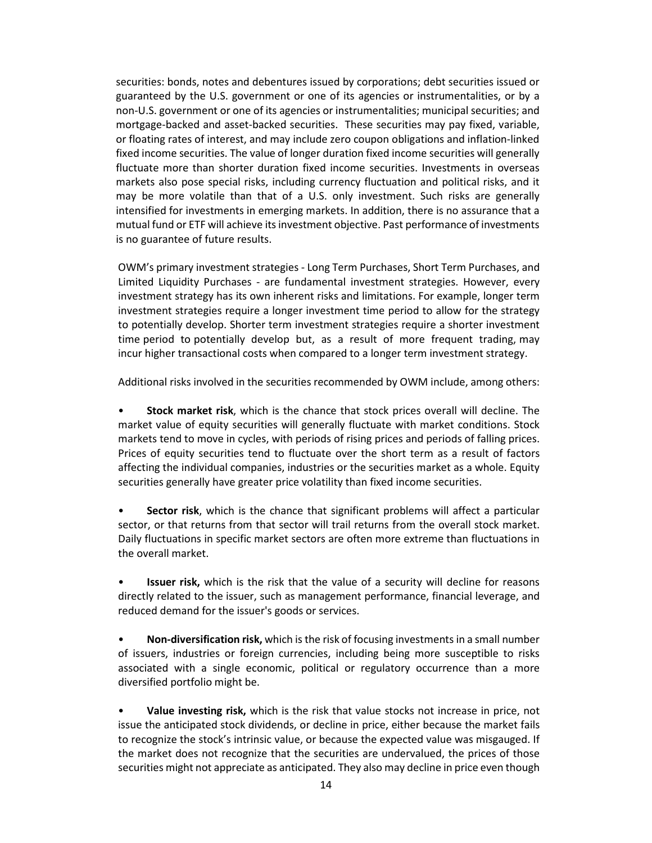securities: bonds, notes and debentures issued by corporations; debt securities issued or guaranteed by the U.S. government or one of its agencies or instrumentalities, or by a non-U.S. government or one of its agencies or instrumentalities; municipal securities; and mortgage-backed and asset-backed securities. These securities may pay fixed, variable, or floating rates of interest, and may include zero coupon obligations and inflation-linked fixed income securities. The value of longer duration fixed income securities will generally fluctuate more than shorter duration fixed income securities. Investments in overseas markets also pose special risks, including currency fluctuation and political risks, and it may be more volatile than that of a U.S. only investment. Such risks are generally intensified for investments in emerging markets. In addition, there is no assurance that a mutual fund or ETF will achieve its investment objective. Past performance of investments is no guarantee of future results.

OWM's primary investment strategies ‐ Long Term Purchases, Short Term Purchases, and Limited Liquidity Purchases ‐ are fundamental investment strategies. However, every investment strategy has its own inherent risks and limitations. For example, longer term investment strategies require a longer investment time period to allow for the strategy to potentially develop. Shorter term investment strategies require a shorter investment time period to potentially develop but, as a result of more frequent trading, may incur higher transactional costs when compared to a longer term investment strategy.

Additional risks involved in the securities recommended by OWM include, among others:

• **Stock market risk**, which is the chance that stock prices overall will decline. The market value of equity securities will generally fluctuate with market conditions. Stock markets tend to move in cycles, with periods of rising prices and periods of falling prices. Prices of equity securities tend to fluctuate over the short term as a result of factors affecting the individual companies, industries or the securities market as a whole. Equity securities generally have greater price volatility than fixed income securities.

• **Sector risk**, which is the chance that significant problems will affect a particular sector, or that returns from that sector will trail returns from the overall stock market. Daily fluctuations in specific market sectors are often more extreme than fluctuations in the overall market.

**Issuer risk,** which is the risk that the value of a security will decline for reasons directly related to the issuer, such as management performance, financial leverage, and reduced demand for the issuer's goods or services.

• **Non-diversification risk,** which is the risk of focusing investments in a small number of issuers, industries or foreign currencies, including being more susceptible to risks associated with a single economic, political or regulatory occurrence than a more diversified portfolio might be.

• **Value investing risk,** which is the risk that value stocks not increase in price, not issue the anticipated stock dividends, or decline in price, either because the market fails to recognize the stock's intrinsic value, or because the expected value was misgauged. If the market does not recognize that the securities are undervalued, the prices of those securities might not appreciate as anticipated. They also may decline in price even though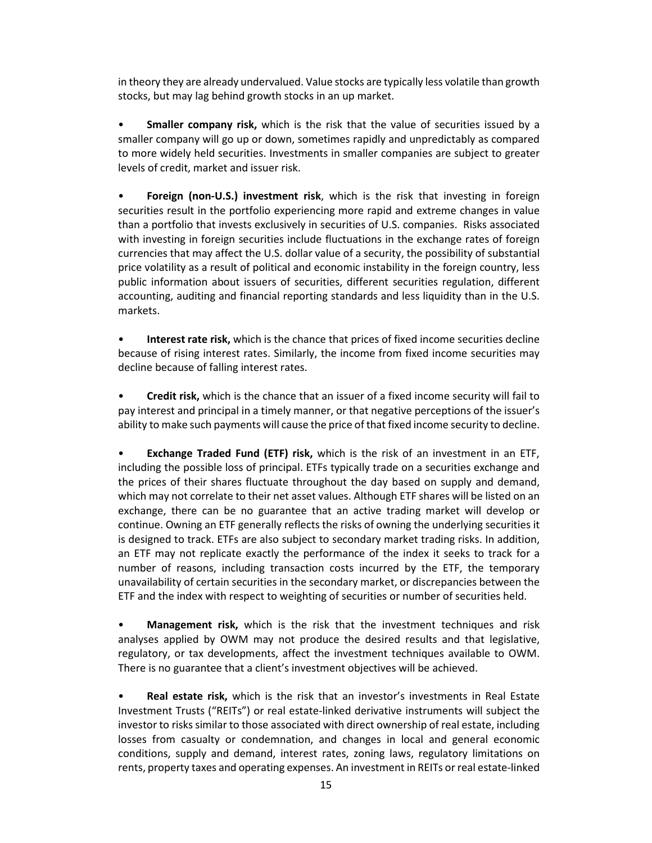in theory they are already undervalued. Value stocks are typically less volatile than growth stocks, but may lag behind growth stocks in an up market.

• **Smaller company risk,** which is the risk that the value of securities issued by a smaller company will go up or down, sometimes rapidly and unpredictably as compared to more widely held securities. Investments in smaller companies are subject to greater levels of credit, market and issuer risk.

• **Foreign (non-U.S.) investment risk**, which is the risk that investing in foreign securities result in the portfolio experiencing more rapid and extreme changes in value than a portfolio that invests exclusively in securities of U.S. companies. Risks associated with investing in foreign securities include fluctuations in the exchange rates of foreign currencies that may affect the U.S. dollar value of a security, the possibility of substantial price volatility as a result of political and economic instability in the foreign country, less public information about issuers of securities, different securities regulation, different accounting, auditing and financial reporting standards and less liquidity than in the U.S. markets.

• **Interest rate risk,** which is the chance that prices of fixed income securities decline because of rising interest rates. Similarly, the income from fixed income securities may decline because of falling interest rates.

• **Credit risk,** which is the chance that an issuer of a fixed income security will fail to pay interest and principal in a timely manner, or that negative perceptions of the issuer's ability to make such payments will cause the price of that fixed income security to decline.

**Exchange Traded Fund (ETF) risk,** which is the risk of an investment in an ETF, including the possible loss of principal. ETFs typically trade on a securities exchange and the prices of their shares fluctuate throughout the day based on supply and demand, which may not correlate to their net asset values. Although ETF shares will be listed on an exchange, there can be no guarantee that an active trading market will develop or continue. Owning an ETF generally reflects the risks of owning the underlying securities it is designed to track. ETFs are also subject to secondary market trading risks. In addition, an ETF may not replicate exactly the performance of the index it seeks to track for a number of reasons, including transaction costs incurred by the ETF, the temporary unavailability of certain securities in the secondary market, or discrepancies between the ETF and the index with respect to weighting of securities or number of securities held.

• **Management risk,** which is the risk that the investment techniques and risk analyses applied by OWM may not produce the desired results and that legislative, regulatory, or tax developments, affect the investment techniques available to OWM. There is no guarantee that a client's investment objectives will be achieved.

• **Real estate risk,** which is the risk that an investor's investments in Real Estate Investment Trusts ("REITs") or real estate-linked derivative instruments will subject the investor to risks similar to those associated with direct ownership of real estate, including losses from casualty or condemnation, and changes in local and general economic conditions, supply and demand, interest rates, zoning laws, regulatory limitations on rents, property taxes and operating expenses. An investment in REITs or real estate-linked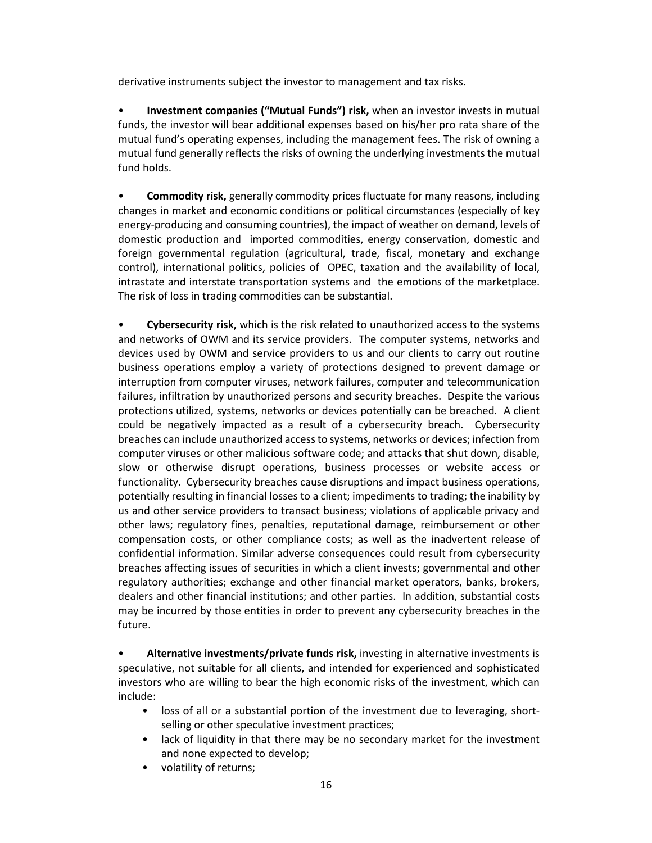derivative instruments subject the investor to management and tax risks.

• **Investment companies ("Mutual Funds") risk,** when an investor invests in mutual funds, the investor will bear additional expenses based on his/her pro rata share of the mutual fund's operating expenses, including the management fees. The risk of owning a mutual fund generally reflects the risks of owning the underlying investments the mutual fund holds.

• **Commodity risk,** generally commodity prices fluctuate for many reasons, including changes in market and economic conditions or political circumstances (especially of key energy-producing and consuming countries), the impact of weather on demand, levels of domestic production and imported commodities, energy conservation, domestic and foreign governmental regulation (agricultural, trade, fiscal, monetary and exchange control), international politics, policies of OPEC, taxation and the availability of local, intrastate and interstate transportation systems and the emotions of the marketplace. The risk of loss in trading commodities can be substantial.

• **Cybersecurity risk,** which is the risk related to unauthorized access to the systems and networks of OWM and its service providers. The computer systems, networks and devices used by OWM and service providers to us and our clients to carry out routine business operations employ a variety of protections designed to prevent damage or interruption from computer viruses, network failures, computer and telecommunication failures, infiltration by unauthorized persons and security breaches. Despite the various protections utilized, systems, networks or devices potentially can be breached. A client could be negatively impacted as a result of a cybersecurity breach. Cybersecurity breaches can include unauthorized access to systems, networks or devices; infection from computer viruses or other malicious software code; and attacks that shut down, disable, slow or otherwise disrupt operations, business processes or website access or functionality. Cybersecurity breaches cause disruptions and impact business operations, potentially resulting in financial losses to a client; impediments to trading; the inability by us and other service providers to transact business; violations of applicable privacy and other laws; regulatory fines, penalties, reputational damage, reimbursement or other compensation costs, or other compliance costs; as well as the inadvertent release of confidential information. Similar adverse consequences could result from cybersecurity breaches affecting issues of securities in which a client invests; governmental and other regulatory authorities; exchange and other financial market operators, banks, brokers, dealers and other financial institutions; and other parties. In addition, substantial costs may be incurred by those entities in order to prevent any cybersecurity breaches in the future.

• **Alternative investments/private funds risk,** investing in alternative investments is speculative, not suitable for all clients, and intended for experienced and sophisticated investors who are willing to bear the high economic risks of the investment, which can include:

- loss of all or a substantial portion of the investment due to leveraging, shortselling or other speculative investment practices;
- lack of liquidity in that there may be no secondary market for the investment and none expected to develop;
- volatility of returns;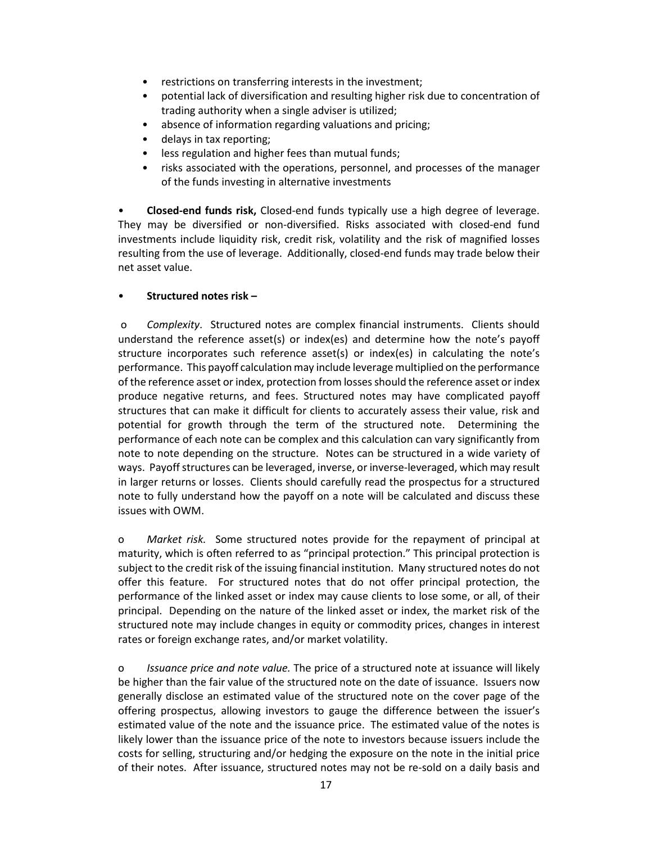- restrictions on transferring interests in the investment;
- potential lack of diversification and resulting higher risk due to concentration of trading authority when a single adviser is utilized;
- absence of information regarding valuations and pricing;
- delays in tax reporting;
- less regulation and higher fees than mutual funds;
- risks associated with the operations, personnel, and processes of the manager of the funds investing in alternative investments

• **Closed-end funds risk,** Closed-end funds typically use a high degree of leverage. They may be diversified or non-diversified. Risks associated with closed-end fund investments include liquidity risk, credit risk, volatility and the risk of magnified losses resulting from the use of leverage. Additionally, closed-end funds may trade below their net asset value.

# • **Structured notes risk –**

 o *Complexity*. Structured notes are complex financial instruments. Clients should understand the reference asset(s) or index(es) and determine how the note's payoff structure incorporates such reference asset(s) or index(es) in calculating the note's performance. This payoff calculation may include leverage multiplied on the performance of the reference asset or index, protection from losses should the reference asset or index produce negative returns, and fees. Structured notes may have complicated payoff structures that can make it difficult for clients to accurately assess their value, risk and potential for growth through the term of the structured note. Determining the performance of each note can be complex and this calculation can vary significantly from note to note depending on the structure. Notes can be structured in a wide variety of ways. Payoff structures can be leveraged, inverse, or inverse-leveraged, which may result in larger returns or losses. Clients should carefully read the prospectus for a structured note to fully understand how the payoff on a note will be calculated and discuss these issues with OWM.

o *Market risk.* Some structured notes provide for the repayment of principal at maturity, which is often referred to as "principal protection." This principal protection is subject to the credit risk of the issuing financial institution. Many structured notes do not offer this feature. For structured notes that do not offer principal protection, the performance of the linked asset or index may cause clients to lose some, or all, of their principal. Depending on the nature of the linked asset or index, the market risk of the structured note may include changes in equity or commodity prices, changes in interest rates or foreign exchange rates, and/or market volatility.

o *Issuance price and note value.* The price of a structured note at issuance will likely be higher than the fair value of the structured note on the date of issuance. Issuers now generally disclose an estimated value of the structured note on the cover page of the offering prospectus, allowing investors to gauge the difference between the issuer's estimated value of the note and the issuance price. The estimated value of the notes is likely lower than the issuance price of the note to investors because issuers include the costs for selling, structuring and/or hedging the exposure on the note in the initial price of their notes. After issuance, structured notes may not be re-sold on a daily basis and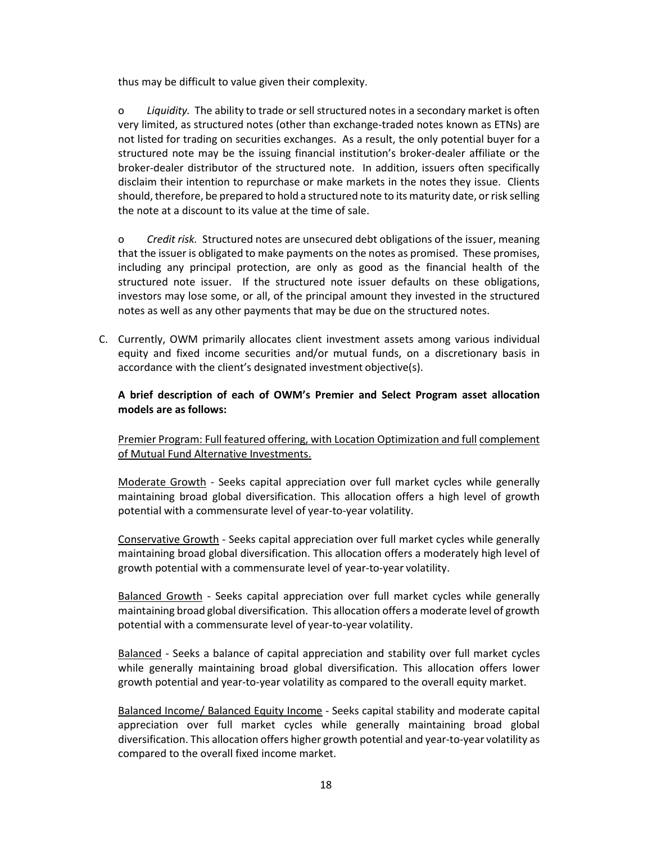thus may be difficult to value given their complexity.

o *Liquidity.* The ability to trade or sell structured notes in a secondary market is often very limited, as structured notes (other than exchange-traded notes known as ETNs) are not listed for trading on securities exchanges. As a result, the only potential buyer for a structured note may be the issuing financial institution's broker-dealer affiliate or the broker-dealer distributor of the structured note. In addition, issuers often specifically disclaim their intention to repurchase or make markets in the notes they issue. Clients should, therefore, be prepared to hold a structured note to its maturity date, or risk selling the note at a discount to its value at the time of sale.

o *Credit risk.* Structured notes are unsecured debt obligations of the issuer, meaning that the issuer is obligated to make payments on the notes as promised. These promises, including any principal protection, are only as good as the financial health of the structured note issuer. If the structured note issuer defaults on these obligations, investors may lose some, or all, of the principal amount they invested in the structured notes as well as any other payments that may be due on the structured notes.

C. Currently, OWM primarily allocates client investment assets among various individual equity and fixed income securities and/or mutual funds, on a discretionary basis in accordance with the client's designated investment objective(s).

# **A brief description of each of OWM's Premier and Select Program asset allocation models are as follows:**

Premier Program: Full featured offering, with Location Optimization and full complement of Mutual Fund Alternative Investments.

Moderate Growth ‐ Seeks capital appreciation over full market cycles while generally maintaining broad global diversification. This allocation offers a high level of growth potential with a commensurate level of year‐to‐year volatility.

Conservative Growth ‐ Seeks capital appreciation over full market cycles while generally maintaining broad global diversification. This allocation offers a moderately high level of growth potential with a commensurate level of year‐to‐year volatility.

Balanced Growth ‐ Seeks capital appreciation over full market cycles while generally maintaining broad global diversification. This allocation offers a moderate level of growth potential with a commensurate level of year-to-year volatility.

Balanced ‐ Seeks a balance of capital appreciation and stability over full market cycles while generally maintaining broad global diversification. This allocation offers lower growth potential and year‐to‐year volatility as compared to the overall equity market.

Balanced Income/ Balanced Equity Income ‐ Seeks capital stability and moderate capital appreciation over full market cycles while generally maintaining broad global diversification. This allocation offers higher growth potential and year‐to‐year volatility as compared to the overall fixed income market.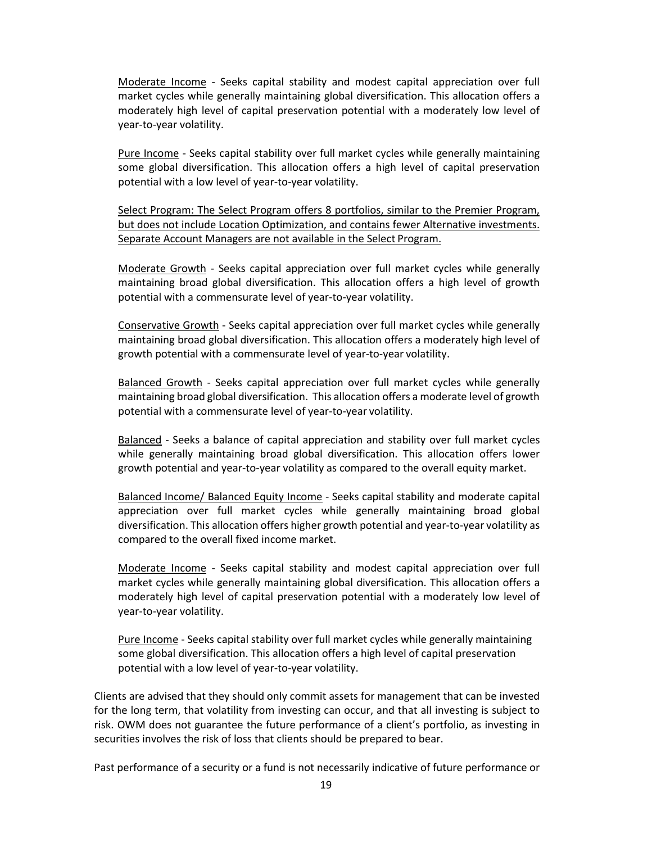Moderate Income ‐ Seeks capital stability and modest capital appreciation over full market cycles while generally maintaining global diversification. This allocation offers a moderately high level of capital preservation potential with a moderately low level of year‐to‐year volatility.

Pure Income ‐ Seeks capital stability over full market cycles while generally maintaining some global diversification. This allocation offers a high level of capital preservation potential with a low level of year‐to‐year volatility.

Select Program: The Select Program offers 8 portfolios, similar to the Premier Program, but does not include Location Optimization, and contains fewer Alternative investments. Separate Account Managers are not available in the Select Program.

Moderate Growth ‐ Seeks capital appreciation over full market cycles while generally maintaining broad global diversification. This allocation offers a high level of growth potential with a commensurate level of year‐to‐year volatility.

Conservative Growth ‐ Seeks capital appreciation over full market cycles while generally maintaining broad global diversification. This allocation offers a moderately high level of growth potential with a commensurate level of year‐to‐year volatility.

Balanced Growth ‐ Seeks capital appreciation over full market cycles while generally maintaining broad global diversification. This allocation offers a moderate level of growth potential with a commensurate level of year-to-year volatility.

Balanced ‐ Seeks a balance of capital appreciation and stability over full market cycles while generally maintaining broad global diversification. This allocation offers lower growth potential and year‐to‐year volatility as compared to the overall equity market.

Balanced Income/ Balanced Equity Income ‐ Seeks capital stability and moderate capital appreciation over full market cycles while generally maintaining broad global diversification. This allocation offers higher growth potential and year‐to‐year volatility as compared to the overall fixed income market.

Moderate Income ‐ Seeks capital stability and modest capital appreciation over full market cycles while generally maintaining global diversification. This allocation offers a moderately high level of capital preservation potential with a moderately low level of year‐to‐year volatility.

Pure Income ‐ Seeks capital stability over full market cycles while generally maintaining some global diversification. This allocation offers a high level of capital preservation potential with a low level of year‐to‐year volatility.

Clients are advised that they should only commit assets for management that can be invested for the long term, that volatility from investing can occur, and that all investing is subject to risk. OWM does not guarantee the future performance of a client's portfolio, as investing in securities involves the risk of loss that clients should be prepared to bear.

Past performance of a security or a fund is not necessarily indicative of future performance or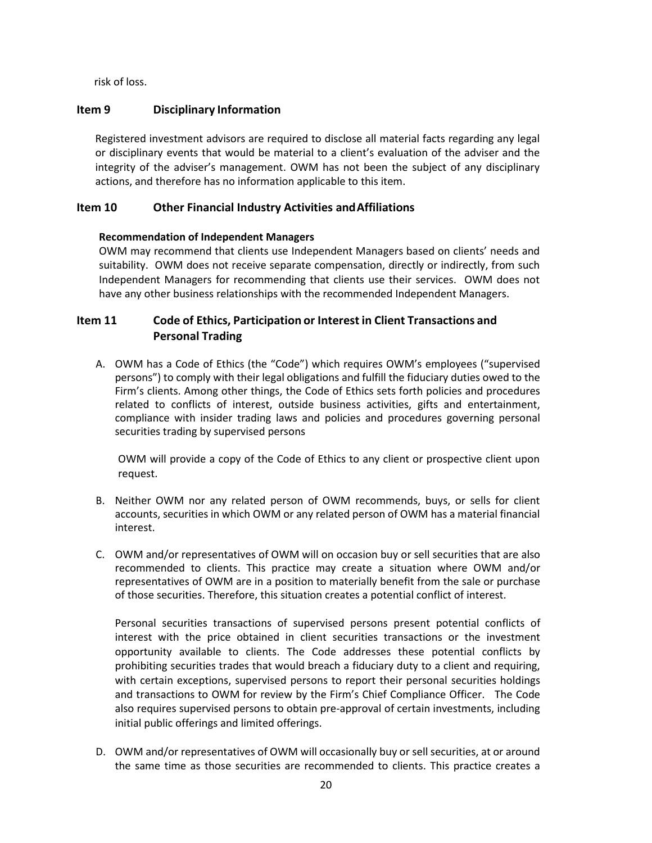risk of loss.

# <span id="page-19-0"></span>**Item 9 Disciplinary Information**

Registered investment advisors are required to disclose all material facts regarding any legal or disciplinary events that would be material to a client's evaluation of the adviser and the integrity of the adviser's management. OWM has not been the subject of any disciplinary actions, and therefore has no information applicable to this item.

# <span id="page-19-1"></span>**Item 10 Other Financial Industry Activities and Affiliations**

# **Recommendation of Independent Managers**

OWM may recommend that clients use Independent Managers based on clients' needs and suitability. OWM does not receive separate compensation, directly or indirectly, from such Independent Managers for recommending that clients use their services. OWM does not have any other business relationships with the recommended Independent Managers.

# <span id="page-19-2"></span>**Item 11 Code of Ethics, Participation or Interest in Client Transactions and Personal Trading**

A. OWM has a Code of Ethics (the "Code") which requires OWM's employees ("supervised persons") to comply with their legal obligations and fulfill the fiduciary duties owed to the Firm's clients. Among other things, the Code of Ethics sets forth policies and procedures related to conflicts of interest, outside business activities, gifts and entertainment, compliance with insider trading laws and policies and procedures governing personal securities trading by supervised persons

OWM will provide a copy of the Code of Ethics to any client or prospective client upon request.

- B. Neither OWM nor any related person of OWM recommends, buys, or sells for client accounts, securities in which OWM or any related person of OWM has a material financial interest.
- C. OWM and/or representatives of OWM will on occasion buy or sell securities that are also recommended to clients. This practice may create a situation where OWM and/or representatives of OWM are in a position to materially benefit from the sale or purchase of those securities. Therefore, this situation creates a potential conflict of interest.

Personal securities transactions of supervised persons present potential conflicts of interest with the price obtained in client securities transactions or the investment opportunity available to clients. The Code addresses these potential conflicts by prohibiting securities trades that would breach a fiduciary duty to a client and requiring, with certain exceptions, supervised persons to report their personal securities holdings and transactions to OWM for review by the Firm's Chief Compliance Officer. The Code also requires supervised persons to obtain pre-approval of certain investments, including initial public offerings and limited offerings.

D. OWM and/or representatives of OWM will occasionally buy or sell securities, at or around the same time as those securities are recommended to clients. This practice creates a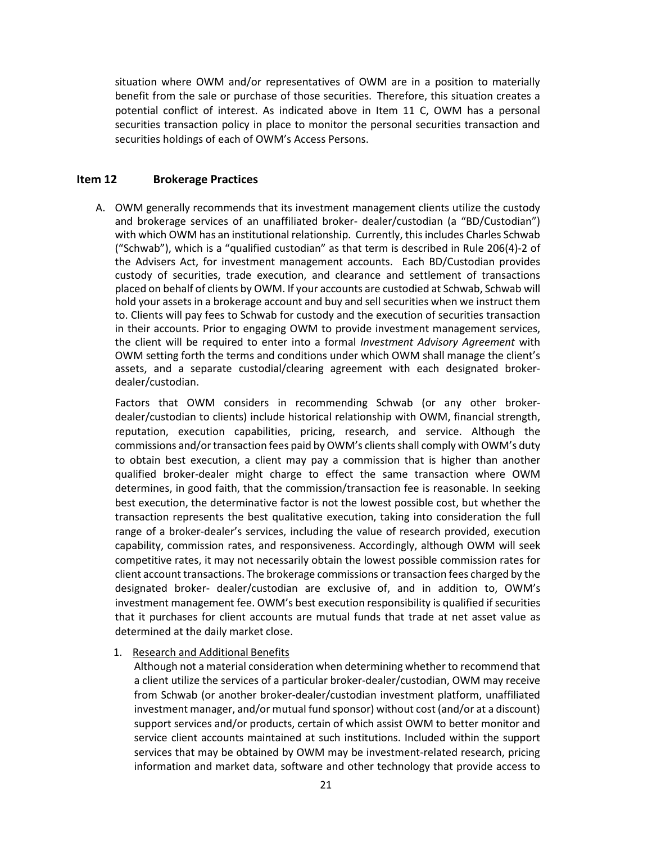situation where OWM and/or representatives of OWM are in a position to materially benefit from the sale or purchase of those securities. Therefore, this situation creates a potential conflict of interest. As indicated above in Item 11 C, OWM has a personal securities transaction policy in place to monitor the personal securities transaction and securities holdings of each of OWM's Access Persons.

# <span id="page-20-0"></span>**Item 12 Brokerage Practices**

A. OWM generally recommends that its investment management clients utilize the custody and brokerage services of an unaffiliated broker‐ dealer/custodian (a "BD/Custodian") with which OWM has an institutional relationship. Currently, this includes Charles Schwab ("Schwab"), which is a "qualified custodian" as that term is described in Rule 206(4)-2 of the Advisers Act, for investment management accounts. Each BD/Custodian provides custody of securities, trade execution, and clearance and settlement of transactions placed on behalf of clients by OWM. If your accounts are custodied at Schwab, Schwab will hold your assets in a brokerage account and buy and sell securities when we instruct them to. Clients will pay fees to Schwab for custody and the execution of securities transaction in their accounts. Prior to engaging OWM to provide investment management services, the client will be required to enter into a formal *Investment Advisory Agreement* with OWM setting forth the terms and conditions under which OWM shall manage the client's assets, and a separate custodial/clearing agreement with each designated broker‐ dealer/custodian.

Factors that OWM considers in recommending Schwab (or any other broker‐ dealer/custodian to clients) include historical relationship with OWM, financial strength, reputation, execution capabilities, pricing, research, and service. Although the commissions and/or transaction fees paid by OWM's clients shall comply with OWM's duty to obtain best execution, a client may pay a commission that is higher than another qualified broker‐dealer might charge to effect the same transaction where OWM determines, in good faith, that the commission/transaction fee is reasonable. In seeking best execution, the determinative factor is not the lowest possible cost, but whether the transaction represents the best qualitative execution, taking into consideration the full range of a broker-dealer's services, including the value of research provided, execution capability, commission rates, and responsiveness. Accordingly, although OWM will seek competitive rates, it may not necessarily obtain the lowest possible commission rates for client account transactions. The brokerage commissions or transaction fees charged by the designated broker‐ dealer/custodian are exclusive of, and in addition to, OWM's investment management fee. OWM's best execution responsibility is qualified if securities that it purchases for client accounts are mutual funds that trade at net asset value as determined at the daily market close.

1. Research and Additional Benefits

Although not a material consideration when determining whether to recommend that a client utilize the services of a particular broker‐dealer/custodian, OWM may receive from Schwab (or another broker‐dealer/custodian investment platform, unaffiliated investment manager, and/or mutual fund sponsor) without cost (and/or at a discount) support services and/or products, certain of which assist OWM to better monitor and service client accounts maintained at such institutions. Included within the support services that may be obtained by OWM may be investment-related research, pricing information and market data, software and other technology that provide access to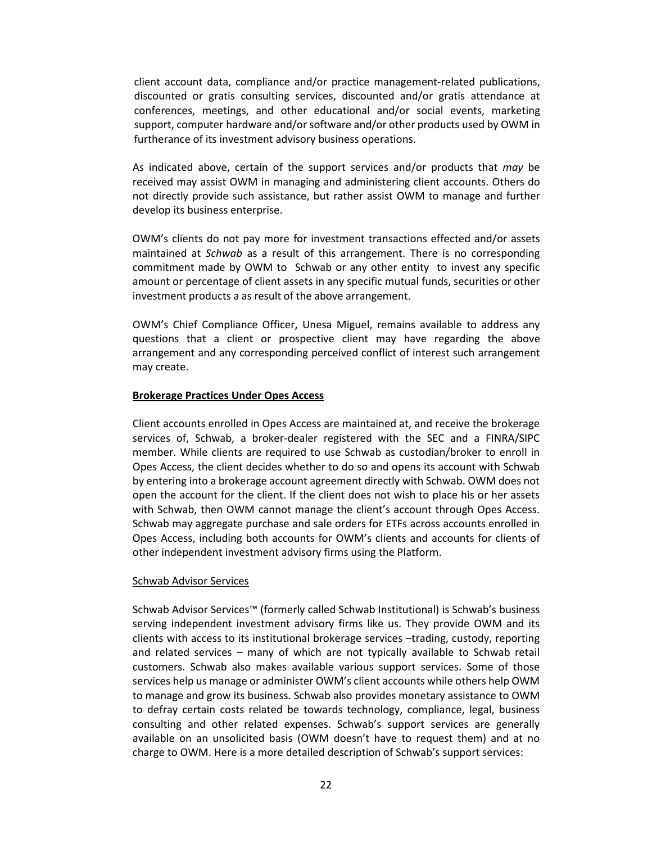client account data, compliance and/or practice management-related publications, discounted or gratis consulting services, discounted and/or gratis attendance at conferences, meetings, and other educational and/or social events, marketing support, computer hardware and/or software and/or other products used by OWM in furtherance of its investment advisory business operations.

As indicated above, certain of the support services and/or products that *may* be received may assist OWM in managing and administering client accounts. Others do not directly provide such assistance, but rather assist OWM to manage and further develop its business enterprise.

OWM's clients do not pay more for investment transactions effected and/or assets maintained at *Schwab* as a result of this arrangement. There is no corresponding commitment made by OWM to Schwab or any other entity to invest any specific amount or percentage of client assets in any specific mutual funds, securities or other investment products a as result of the above arrangement.

OWM's Chief Compliance Officer, Unesa Miguel, remains available to address any questions that a client or prospective client may have regarding the above arrangement and any corresponding perceived conflict of interest such arrangement may create.

#### **Brokerage Practices Under Opes Access**

Client accounts enrolled in Opes Access are maintained at, and receive the brokerage services of, Schwab, a broker-dealer registered with the SEC and a FINRA/SIPC member. While clients are required to use Schwab as custodian/broker to enroll in Opes Access, the client decides whether to do so and opens its account with Schwab by entering into a brokerage account agreement directly with Schwab. OWM does not open the account for the client. If the client does not wish to place his or her assets with Schwab, then OWM cannot manage the client's account through Opes Access. Schwab may aggregate purchase and sale orders for ETFs across accounts enrolled in Opes Access, including both accounts for OWM's clients and accounts for clients of other independent investment advisory firms using the Platform.

#### Schwab Advisor Services

Schwab Advisor Services™ (formerly called Schwab Institutional) is Schwab's business serving independent investment advisory firms like us. They provide OWM and its clients with access to its institutional brokerage services –trading, custody, reporting and related services – many of which are not typically available to Schwab retail customers. Schwab also makes available various support services. Some of those services help us manage or administer OWM's client accounts while others help OWM to manage and grow its business. Schwab also provides monetary assistance to OWM to defray certain costs related be towards technology, compliance, legal, business consulting and other related expenses. Schwab's support services are generally available on an unsolicited basis (OWM doesn't have to request them) and at no charge to OWM. Here is a more detailed description of Schwab's support services: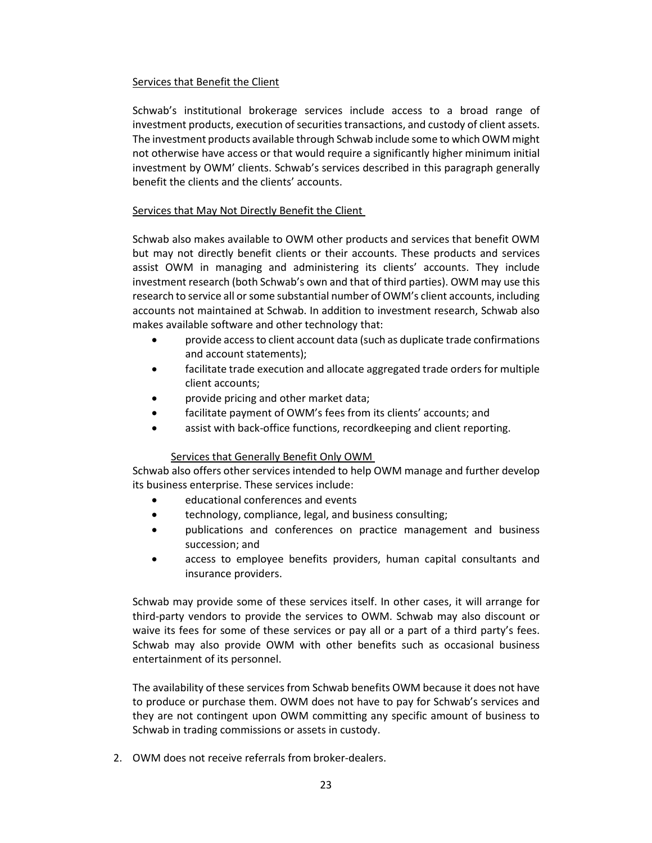# Services that Benefit the Client

Schwab's institutional brokerage services include access to a broad range of investment products, execution of securities transactions, and custody of client assets. The investment products available through Schwab include some to which OWM might not otherwise have access or that would require a significantly higher minimum initial investment by OWM' clients. Schwab's services described in this paragraph generally benefit the clients and the clients' accounts.

#### Services that May Not Directly Benefit the Client

Schwab also makes available to OWM other products and services that benefit OWM but may not directly benefit clients or their accounts. These products and services assist OWM in managing and administering its clients' accounts. They include investment research (both Schwab's own and that of third parties). OWM may use this research to service all or some substantial number of OWM's client accounts, including accounts not maintained at Schwab. In addition to investment research, Schwab also makes available software and other technology that:

- provide access to client account data (such as duplicate trade confirmations and account statements);
- facilitate trade execution and allocate aggregated trade orders for multiple client accounts;
- provide pricing and other market data;
- facilitate payment of OWM's fees from its clients' accounts; and
- assist with back-office functions, recordkeeping and client reporting.

# Services that Generally Benefit Only OWM

Schwab also offers other services intended to help OWM manage and further develop its business enterprise. These services include:

- educational conferences and events
- **•** technology, compliance, legal, and business consulting;
- publications and conferences on practice management and business succession; and
- access to employee benefits providers, human capital consultants and insurance providers.

Schwab may provide some of these services itself. In other cases, it will arrange for third-party vendors to provide the services to OWM. Schwab may also discount or waive its fees for some of these services or pay all or a part of a third party's fees. Schwab may also provide OWM with other benefits such as occasional business entertainment of its personnel.

The availability of these services from Schwab benefits OWM because it does not have to produce or purchase them. OWM does not have to pay for Schwab's services and they are not contingent upon OWM committing any specific amount of business to Schwab in trading commissions or assets in custody.

2. OWM does not receive referrals from broker‐dealers.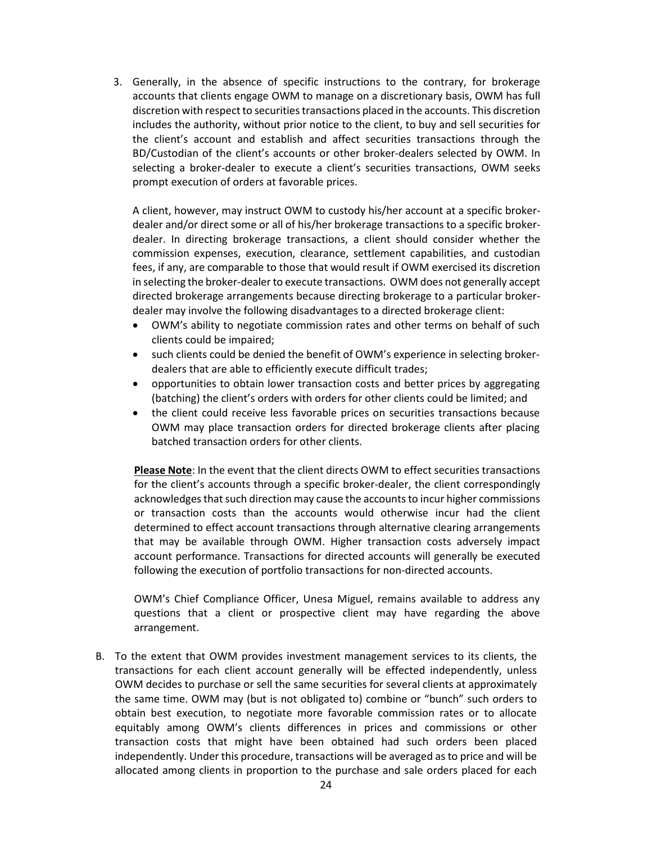3. Generally, in the absence of specific instructions to the contrary, for brokerage accounts that clients engage OWM to manage on a discretionary basis, OWM has full discretion with respect to securities transactions placed in the accounts. This discretion includes the authority, without prior notice to the client, to buy and sell securities for the client's account and establish and affect securities transactions through the BD/Custodian of the client's accounts or other broker-dealers selected by OWM. In selecting a broker-dealer to execute a client's securities transactions, OWM seeks prompt execution of orders at favorable prices.

A client, however, may instruct OWM to custody his/her account at a specific brokerdealer and/or direct some or all of his/her brokerage transactions to a specific brokerdealer. In directing brokerage transactions, a client should consider whether the commission expenses, execution, clearance, settlement capabilities, and custodian fees, if any, are comparable to those that would result if OWM exercised its discretion in selecting the broker-dealer to execute transactions. OWM does not generally accept directed brokerage arrangements because directing brokerage to a particular brokerdealer may involve the following disadvantages to a directed brokerage client:

- OWM's ability to negotiate commission rates and other terms on behalf of such clients could be impaired;
- such clients could be denied the benefit of OWM's experience in selecting brokerdealers that are able to efficiently execute difficult trades;
- opportunities to obtain lower transaction costs and better prices by aggregating (batching) the client's orders with orders for other clients could be limited; and
- the client could receive less favorable prices on securities transactions because OWM may place transaction orders for directed brokerage clients after placing batched transaction orders for other clients.

**Please Note**: In the event that the client directs OWM to effect securities transactions for the client's accounts through a specific broker-dealer, the client correspondingly acknowledges that such direction may cause the accounts to incur higher commissions or transaction costs than the accounts would otherwise incur had the client determined to effect account transactions through alternative clearing arrangements that may be available through OWM. Higher transaction costs adversely impact account performance. Transactions for directed accounts will generally be executed following the execution of portfolio transactions for non‐directed accounts.

OWM's Chief Compliance Officer, Unesa Miguel, remains available to address any questions that a client or prospective client may have regarding the above arrangement.

B. To the extent that OWM provides investment management services to its clients, the transactions for each client account generally will be effected independently, unless OWM decides to purchase or sell the same securities for several clients at approximately the same time. OWM may (but is not obligated to) combine or "bunch" such orders to obtain best execution, to negotiate more favorable commission rates or to allocate equitably among OWM's clients differences in prices and commissions or other transaction costs that might have been obtained had such orders been placed independently. Under this procedure, transactions will be averaged as to price and will be allocated among clients in proportion to the purchase and sale orders placed for each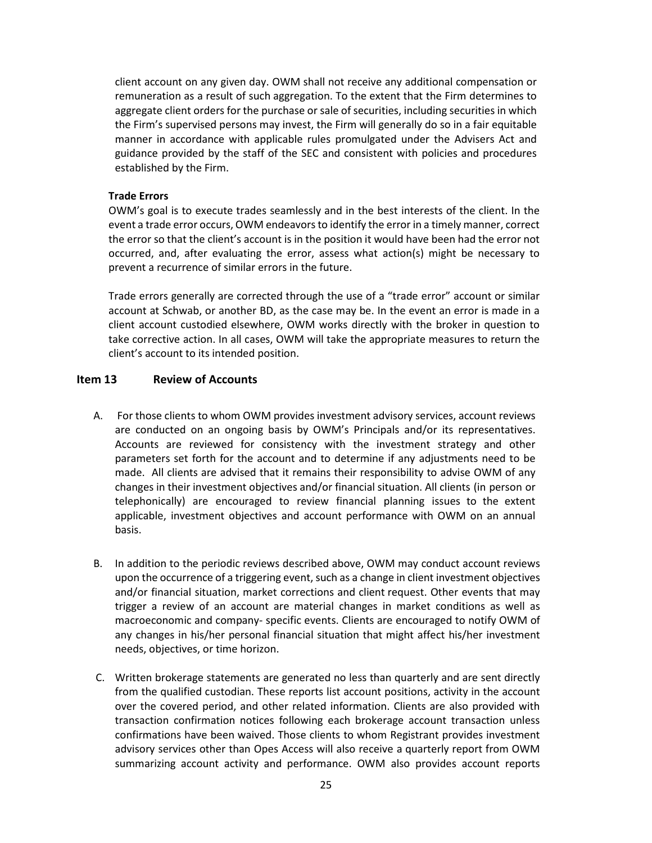client account on any given day. OWM shall not receive any additional compensation or remuneration as a result of such aggregation. To the extent that the Firm determines to aggregate client orders for the purchase or sale of securities, including securities in which the Firm's supervised persons may invest, the Firm will generally do so in a fair equitable manner in accordance with applicable rules promulgated under the Advisers Act and guidance provided by the staff of the SEC and consistent with policies and procedures established by the Firm.

# **Trade Errors**

OWM's goal is to execute trades seamlessly and in the best interests of the client. In the event a trade error occurs, OWM endeavors to identify the error in a timely manner, correct the error so that the client's account is in the position it would have been had the error not occurred, and, after evaluating the error, assess what action(s) might be necessary to prevent a recurrence of similar errors in the future.

Trade errors generally are corrected through the use of a "trade error" account or similar account at Schwab, or another BD, as the case may be. In the event an error is made in a client account custodied elsewhere, OWM works directly with the broker in question to take corrective action. In all cases, OWM will take the appropriate measures to return the client's account to its intended position.

#### <span id="page-24-0"></span>**Item 13 Review of Accounts**

- A. For those clients to whom OWM provides investment advisory services, account reviews are conducted on an ongoing basis by OWM's Principals and/or its representatives. Accounts are reviewed for consistency with the investment strategy and other parameters set forth for the account and to determine if any adjustments need to be made. All clients are advised that it remains their responsibility to advise OWM of any changes in their investment objectives and/or financial situation. All clients (in person or telephonically) are encouraged to review financial planning issues to the extent applicable, investment objectives and account performance with OWM on an annual basis.
- B. In addition to the periodic reviews described above, OWM may conduct account reviews upon the occurrence of a triggering event, such as a change in client investment objectives and/or financial situation, market corrections and client request. Other events that may trigger a review of an account are material changes in market conditions as well as macroeconomic and company- specific events. Clients are encouraged to notify OWM of any changes in his/her personal financial situation that might affect his/her investment needs, objectives, or time horizon.
- C. Written brokerage statements are generated no less than quarterly and are sent directly from the qualified custodian. These reports list account positions, activity in the account over the covered period, and other related information. Clients are also provided with transaction confirmation notices following each brokerage account transaction unless confirmations have been waived. Those clients to whom Registrant provides investment advisory services other than Opes Access will also receive a quarterly report from OWM summarizing account activity and performance. OWM also provides account reports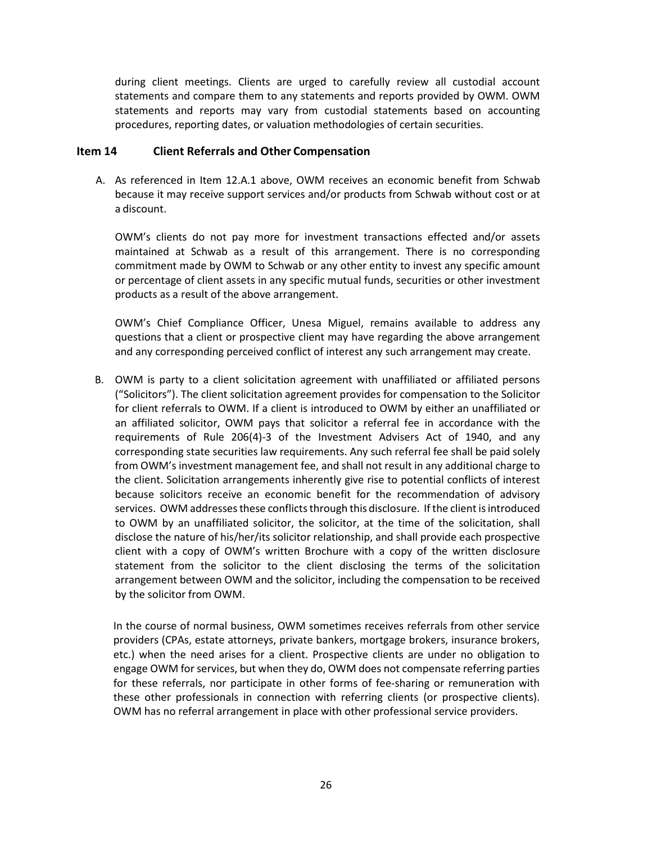during client meetings. Clients are urged to carefully review all custodial account statements and compare them to any statements and reports provided by OWM. OWM statements and reports may vary from custodial statements based on accounting procedures, reporting dates, or valuation methodologies of certain securities.

#### <span id="page-25-0"></span>**Item 14 Client Referrals and Other Compensation**

A. As referenced in Item 12.A.1 above, OWM receives an economic benefit from Schwab because it may receive support services and/or products from Schwab without cost or at a discount.

OWM's clients do not pay more for investment transactions effected and/or assets maintained at Schwab as a result of this arrangement. There is no corresponding commitment made by OWM to Schwab or any other entity to invest any specific amount or percentage of client assets in any specific mutual funds, securities or other investment products as a result of the above arrangement.

OWM's Chief Compliance Officer, Unesa Miguel, remains available to address any questions that a client or prospective client may have regarding the above arrangement and any corresponding perceived conflict of interest any such arrangement may create.

B. OWM is party to a client solicitation agreement with unaffiliated or affiliated persons ("Solicitors"). The client solicitation agreement provides for compensation to the Solicitor for client referrals to OWM. If a client is introduced to OWM by either an unaffiliated or an affiliated solicitor, OWM pays that solicitor a referral fee in accordance with the requirements of Rule 206(4)‐3 of the Investment Advisers Act of 1940, and any corresponding state securities law requirements. Any such referral fee shall be paid solely from OWM's investment management fee, and shall not result in any additional charge to the client. Solicitation arrangements inherently give rise to potential conflicts of interest because solicitors receive an economic benefit for the recommendation of advisory services. OWM addresses these conflicts through this disclosure. If the client is introduced to OWM by an unaffiliated solicitor, the solicitor, at the time of the solicitation, shall disclose the nature of his/her/its solicitor relationship, and shall provide each prospective client with a copy of OWM's written Brochure with a copy of the written disclosure statement from the solicitor to the client disclosing the terms of the solicitation arrangement between OWM and the solicitor, including the compensation to be received by the solicitor from OWM.

In the course of normal business, OWM sometimes receives referrals from other service providers (CPAs, estate attorneys, private bankers, mortgage brokers, insurance brokers, etc.) when the need arises for a client. Prospective clients are under no obligation to engage OWM for services, but when they do, OWM does not compensate referring parties for these referrals, nor participate in other forms of fee-sharing or remuneration with these other professionals in connection with referring clients (or prospective clients). OWM has no referral arrangement in place with other professional service providers.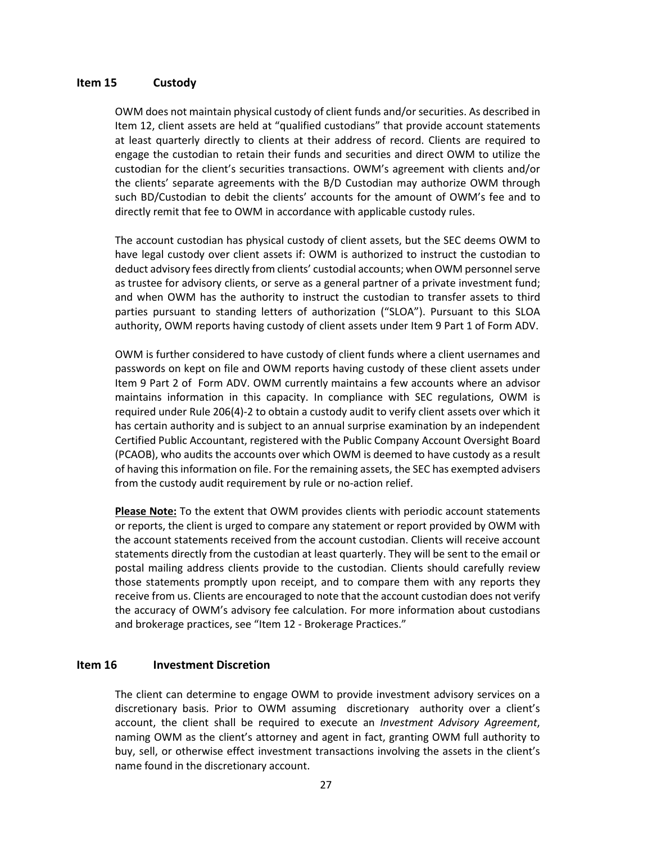# <span id="page-26-0"></span>**Item 15 Custody**

OWM does not maintain physical custody of client funds and/or securities. As described in Item 12, client assets are held at "qualified custodians" that provide account statements at least quarterly directly to clients at their address of record. Clients are required to engage the custodian to retain their funds and securities and direct OWM to utilize the custodian for the client's securities transactions. OWM's agreement with clients and/or the clients' separate agreements with the B/D Custodian may authorize OWM through such BD/Custodian to debit the clients' accounts for the amount of OWM's fee and to directly remit that fee to OWM in accordance with applicable custody rules.

The account custodian has physical custody of client assets, but the SEC deems OWM to have legal custody over client assets if: OWM is authorized to instruct the custodian to deduct advisory fees directly from clients' custodial accounts; when OWM personnel serve as trustee for advisory clients, or serve as a general partner of a private investment fund; and when OWM has the authority to instruct the custodian to transfer assets to third parties pursuant to standing letters of authorization ("SLOA"). Pursuant to this SLOA authority, OWM reports having custody of client assets under Item 9 Part 1 of Form ADV.

OWM is further considered to have custody of client funds where a client usernames and passwords on kept on file and OWM reports having custody of these client assets under Item 9 Part 2 of Form ADV. OWM currently maintains a few accounts where an advisor maintains information in this capacity. In compliance with SEC regulations, OWM is required under Rule 206(4)-2 to obtain a custody audit to verify client assets over which it has certain authority and is subject to an annual surprise examination by an independent Certified Public Accountant, registered with the Public Company Account Oversight Board (PCAOB), who audits the accounts over which OWM is deemed to have custody as a result of having this information on file. For the remaining assets, the SEC has exempted advisers from the custody audit requirement by rule or no-action relief.

**Please Note:** To the extent that OWM provides clients with periodic account statements or reports, the client is urged to compare any statement or report provided by OWM with the account statements received from the account custodian. Clients will receive account statements directly from the custodian at least quarterly. They will be sent to the email or postal mailing address clients provide to the custodian. Clients should carefully review those statements promptly upon receipt, and to compare them with any reports they receive from us. Clients are encouraged to note that the account custodian does not verify the accuracy of OWM's advisory fee calculation. For more information about custodians and brokerage practices, see "Item 12 - Brokerage Practices."

#### <span id="page-26-1"></span>**Item 16 Investment Discretion**

The client can determine to engage OWM to provide investment advisory services on a discretionary basis. Prior to OWM assuming discretionary authority over a client's account, the client shall be required to execute an *Investment Advisory Agreement*, naming OWM as the client's attorney and agent in fact, granting OWM full authority to buy, sell, or otherwise effect investment transactions involving the assets in the client's name found in the discretionary account.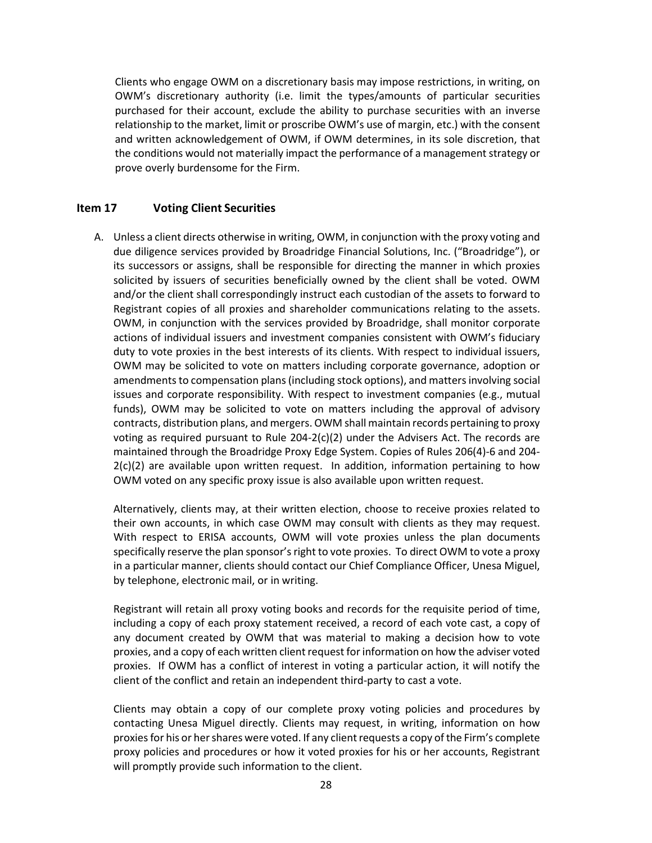Clients who engage OWM on a discretionary basis may impose restrictions, in writing, on OWM's discretionary authority (i.e. limit the types/amounts of particular securities purchased for their account, exclude the ability to purchase securities with an inverse relationship to the market, limit or proscribe OWM's use of margin, etc.) with the consent and written acknowledgement of OWM, if OWM determines, in its sole discretion, that the conditions would not materially impact the performance of a management strategy or prove overly burdensome for the Firm.

# <span id="page-27-0"></span>**Item 17 Voting Client Securities**

A. Unless a client directs otherwise in writing, OWM, in conjunction with the proxy voting and due diligence services provided by Broadridge Financial Solutions, Inc. ("Broadridge"), or its successors or assigns, shall be responsible for directing the manner in which proxies solicited by issuers of securities beneficially owned by the client shall be voted. OWM and/or the client shall correspondingly instruct each custodian of the assets to forward to Registrant copies of all proxies and shareholder communications relating to the assets. OWM, in conjunction with the services provided by Broadridge, shall monitor corporate actions of individual issuers and investment companies consistent with OWM's fiduciary duty to vote proxies in the best interests of its clients. With respect to individual issuers, OWM may be solicited to vote on matters including corporate governance, adoption or amendments to compensation plans (including stock options), and matters involving social issues and corporate responsibility. With respect to investment companies (e.g., mutual funds), OWM may be solicited to vote on matters including the approval of advisory contracts, distribution plans, and mergers. OWM shall maintain records pertaining to proxy voting as required pursuant to Rule  $204-2(c)(2)$  under the Advisers Act. The records are maintained through the Broadridge Proxy Edge System. Copies of Rules 206(4)-6 and 204-  $2(c)(2)$  are available upon written request. In addition, information pertaining to how OWM voted on any specific proxy issue is also available upon written request.

Alternatively, clients may, at their written election, choose to receive proxies related to their own accounts, in which case OWM may consult with clients as they may request. With respect to ERISA accounts, OWM will vote proxies unless the plan documents specifically reserve the plan sponsor's right to vote proxies. To direct OWM to vote a proxy in a particular manner, clients should contact our Chief Compliance Officer, Unesa Miguel, by telephone, electronic mail, or in writing.

Registrant will retain all proxy voting books and records for the requisite period of time, including a copy of each proxy statement received, a record of each vote cast, a copy of any document created by OWM that was material to making a decision how to vote proxies, and a copy of each written client request for information on how the adviser voted proxies. If OWM has a conflict of interest in voting a particular action, it will notify the client of the conflict and retain an independent third-party to cast a vote.

Clients may obtain a copy of our complete proxy voting policies and procedures by contacting Unesa Miguel directly. Clients may request, in writing, information on how proxies for his or her shares were voted. If any client requests a copy of the Firm's complete proxy policies and procedures or how it voted proxies for his or her accounts, Registrant will promptly provide such information to the client.